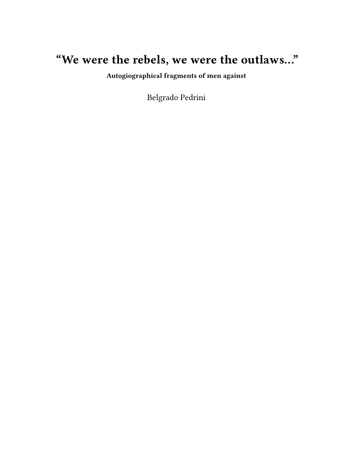# **"We were the rebels, we were the outlaws…"**

**Autogiographical fragments of men against**

Belgrado Pedrini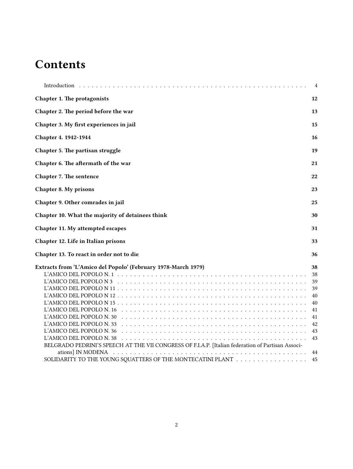# **Contents**

|                                                                                                   | $\overline{4}$ |
|---------------------------------------------------------------------------------------------------|----------------|
| Chapter 1. The protagonists                                                                       | 12             |
| Chapter 2. The period before the war                                                              | 13             |
| Chapter 3. My first experiences in jail                                                           | 15             |
| Chapter 4. 1942-1944                                                                              | 16             |
| Chapter 5. The partisan struggle                                                                  | 19             |
| Chapter 6. The aftermath of the war                                                               | 21             |
| Chapter 7. The sentence                                                                           | 22             |
| Chapter 8. My prisons                                                                             | 23             |
| Chapter 9. Other comrades in jail                                                                 | 25             |
| Chapter 10. What the majority of detainees think                                                  | 30             |
| Chapter 11. My attempted escapes                                                                  | 31             |
| Chapter 12. Life in Italian prisons                                                               | 33             |
| Chapter 13. To react in order not to die                                                          | 36             |
| Extracts from 'L'Amico del Popolo' (February 1978-March 1979)                                     | 38             |
|                                                                                                   | 38             |
|                                                                                                   | 39             |
|                                                                                                   | 39             |
|                                                                                                   | 40             |
|                                                                                                   | 40             |
| L'AMICO DEL POPOLO N. 16                                                                          | 41             |
| L'AMICO DEL POPOLO N. 30                                                                          | 41             |
| L'AMICO DEL POPOLO N. 33                                                                          | 42             |
| L'AMICO DEL POPOLO N. 36                                                                          | 43             |
|                                                                                                   | 43             |
| BELGRADO PEDRINI'S SPEECH AT THE VII CONGRESS OF F.I.A.P. [Italian federation of Partisan Associ- |                |
| ations] IN MODENA                                                                                 | 44             |
| SOLIDARITY TO THE YOUNG SQUATTERS OF THE MONTECATINI PLANT                                        | 45             |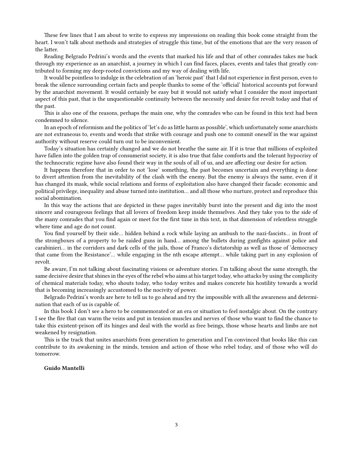These few lines that I am about to write to express my impressions on reading this book come straight from the heart. I won't talk about methods and strategies of struggle this time, but of the emotions that are the very reason of the latter.

Reading Belgrado Pedrini's words and the events that marked his life and that of other comrades takes me back through my experience as an anarchist, a journey in which I can find faces, places, events and tales that greatly contributed to forming my deep-rooted convictions and my way of dealing with life.

It would be pointless to indulge in the celebration of an 'heroic past' that I did not experience in first person, even to break the silence surrounding certain facts and people thanks to some of the 'official' historical accounts put forward by the anarchist movement. It would certainly be easy but it would not satisfy what I consider the most important aspect of this past, that is the unquestionable continuity between the necessity and desire for revolt today and that of the past.

This is also one of the reasons, perhaps the main one, why the comrades who can be found in this text had been condemned to silence.

In an epoch of reformism and the politics of 'let's do as little harm as possible', which unfortunately some anarchists are not extraneous to, events and words that strike with courage and push one to commit oneself in the war against authority without reserve could turn out to be inconvenient.

Today's situation has certainly changed and we do not breathe the same air. If it is true that millions of exploited have fallen into the golden trap of consumerist society, it is also true that false comforts and the tolerant hypocrisy of the technocratic regime have also found their way in the souls of all of us, and are affecting our desire for action.

It happens therefore that in order to not 'lose' something, the past becomes uncertain and everything is done to divert attention from the inevitability of the clash with the enemy. But the enemy is always the same, even if it has changed its mask, while social relations and forms of exploitation also have changed their facade: economic and political privilege, inequality and abuse turned into institution… and all those who nurture, protect and reproduce this social abomination.

In this way the actions that are depicted in these pages inevitably burst into the present and dig into the most sincere and courageous feelings that all lovers of freedom keep inside themselves. And they take you to the side of the many comrades that you find again or meet for the first time in this text, in that dimension of relentless struggle where time and age do not count.

You find yourself by their side… hidden behind a rock while laying an ambush to the nazi-fascists… in front of the strongboxes of a property to be raided guns in hand… among the bullets during gunfights against police and carabinieri… in the corridors and dark cells of the jails, those of Franco's dictatorship as well as those of 'democracy that came from the Resistance'… while engaging in the nth escape attempt… while taking part in any explosion of revolt.

Be aware, I'm not talking about fascinating visions or adventure stories. I'm talking about the same strength, the same decisive desire that shines in the eyes of the rebel who aims at his target today, who attacks by using the complicity of chemical materials today, who shouts today, who today writes and makes concrete his hostility towards a world that is becoming increasingly accustomed to the nocivity of power.

Belgrado Pedrini's words are here to tell us to go ahead and try the impossible with all the awareness and determination that each of us is capable of.

In this book I don't see a hero to be commemorated or an era or situation to feel nostalgic about. On the contrary I see the fire that can warm the veins and put in tension muscles and nerves of those who want to find the chance to take this existent-prison off its hinges and deal with the world as free beings, those whose hearts and limbs are not weakened by resignation.

This is the track that unites anarchists from generation to generation and I'm convinced that books like this can contribute to its awakening in the minds, tension and action of those who rebel today, and of those who will do tomorrow.

#### **Guido Mantelli**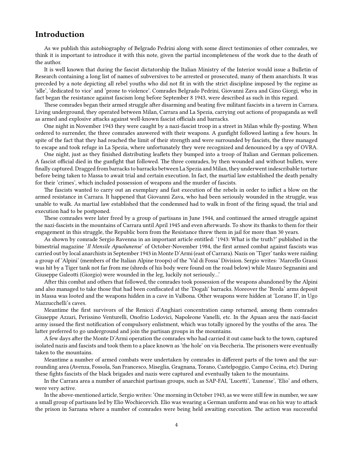### <span id="page-3-0"></span>**Introduction**

As we publish this autobiography of Belgrado Pedrini along with some direct testimonies of other comrades, we think it is important to introduce it with this note, given the partial incompleteness of the work due to the death of the author.

It is well known that during the fascist dictatorship the Italian Ministry of the Interior would issue a Bulletin of Research containing a long list of names of subversives to be arrested or prosecuted, many of them anarchists. It was preceded by a note depicting all rebel youths who did not fit in with the strict discipline imposed by the regime as 'idle', 'dedicated to vice' and 'prone to violence'. Comrades Belgrado Pedrini, Giovanni Zava and Gino Giorgi, who in fact began the resistance against fascism long before September 8 1943, were described as such in this regard.

These comrades began their armed struggle after disarming and beating five militant fascists in a tavern in Carrara. Living underground, they operated between Milan, Carrara and La Spezia, carrying out actions of propaganda as well as armed and explosive attacks against well-known fascist officials and barracks.

One night in November 1943 they were caught by a nazi-fascist troop in a street in Milan while fly-posting. When ordered to surrender, the three comrades answered with their weapons. A gunfight followed lasting a few hours. In spite of the fact that they had reached the limit of their strength and were surrounded by fascists, the three managed to escape and took refuge in La Spezia, where unfortunately they were recognized and denounced by a spy of OVRA.

One night, just as they finished distributing leaflets they bumped into a troop of Italian and German policemen. A fascist official died in the gunfight that followed. The three comrades, by then wounded and without bullets, were finally captured. Dragged from barracks to barracks between La Spezia and Milan, they underwent indescribable torture before being taken to Massa to await trial and certain execution. In fact, the martial law established the death penalty for their 'crimes', which included possession of weapons and the murder of fascists.

The fascists wanted to carry out an exemplary and fast execution of the rebels in order to inflict a blow on the armed resistance in Carrara. It happened that Giovanni Zava, who had been seriously wounded in the struggle, was unable to walk. As martial law established that the condemned had to walk in front of the firing squad, the trial and execution had to be postponed.

These comrades were later freed by a group of partisans in June 1944, and continued the armed struggle against the nazi-fascists in the mountains of Carrara until April 1945 and even afterwards. To show its thanks to them for their engagement in this struggle, the Republic born from the Resistance threw them in jail for more than 30 years.

As shown by comrade Sergio Ravenna in an important article entitled: '1943: What is the truth?' published in the bimestrial magazine '*Il Mensile Apuolunense*' of October-November 1984, the first armed combat against fascists was carried out by local anarchists in September 1943 in Monte D'Armi (east of Carrara). Nazis on 'Tiger' tanks were raiding a group of 'Alpini' (members of the Italian Alpine troops) of the 'Val di Fossa' Division. Sergio writes: 'Marcello Grassi was hit by a Tiger tank not far from me (shreds of his body were found on the road below) while Mauro Segnanini and Giuseppe Galeotti (Giorgio) were wounded in the leg, luckily not seriously…'

After this combat and others that followed, the comrades took possession of the weapons abandoned by the Alpini and also managed to take those that had been confiscated at the 'Dogali' barracks. Moreover the 'Breda' arms deposit in Massa was looted and the weapons hidden in a cave in Valbona. Other weapons were hidden at 'Lorano II', in Ugo Mazzucchelli's caves.

Meantime the first survivors of the Renicci d'Anghiari concentration camp returned, among them comrades Giuseppe Azzari, Perissino Venturelli, Onofrio Lodovici, Napoleone Vanelli, etc. In the Apuan area the nazi-fascist army issued the first notification of compulsory enlistment, which was totally ignored by the youths of the area. The latter preferred to go underground and join the partisan groups in the mountains.

A few days after the Monte D'Armi operation the comrades who had carried it out came back to the town, captured isolated nazis and fascists and took them to a place known as 'the hole' on via Beccheria. The prisoners were eventually taken to the mountains.

Meantime a number of armed combats were undertaken by comrades in different parts of the town and the surrounding area (Avenza, Fossola, San Francesco, Miseglia, Gragnana, Torano, Castelpoggio, Campo Cecina, etc). During these fights fascists of the black brigades and nazis were captured and eventually taken to the mountains.

In the Carrara area a number of anarchist partisan groups, such as SAP-FAI, 'Lucetti', 'Lunense', 'Elio' and others, were very active.

In the above-mentioned article, Sergio writes: 'One morning in October 1943, as we were still few in number, we saw a small group of partisans led by Elio Wochiecevich. Elio was wearing a German uniform and was on his way to attack the prison in Sarzana where a number of comrades were being held awaiting execution. The action was successful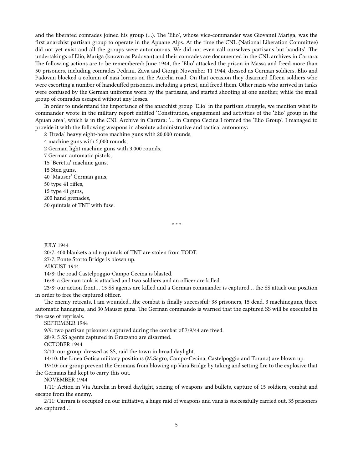and the liberated comrades joined his group (…). The 'Elio', whose vice-commander was Giovanni Mariga, was the first anarchist partisan group to operate in the Apuane Alps. At the time the CNL (National Liberation Committee) did not yet exist and all the groups were autonomous. We did not even call ourselves partisans but bandits'. The undertakings of Elio, Mariga (known as Padovan) and their comrades are documented in the CNL archives in Carrara. The following actions are to be remembered: June 1944, the 'Elio' attacked the prison in Massa and freed more than 50 prisoners, including comrades Pedrini, Zava and Giorgi; November 11 1944, dressed as German soldiers, Elio and Padovan blocked a column of nazi lorries on the Aurelia road. On that occasion they disarmed fifteen soldiers who were escorting a number of handcuffed prisoners, including a priest, and freed them. Other nazis who arrived in tanks were confused by the German uniforms worn by the partisans, and started shooting at one another, while the small group of comrades escaped without any losses.

In order to understand the importance of the anarchist group 'Elio' in the partisan struggle, we mention what its commander wrote in the military report entitled 'Constitution, engagement and activities of the 'Elio' group in the Apuan area', which is in the CNL Archive in Carrara: '… in Campo Cecina I formed the 'Elio Group'. I managed to provide it with the following weapons in absolute administrative and tactical autonomy:

2 'Breda' heavy eight-bore machine guns with 20,000 rounds,

4 machine guns with 5,000 rounds,

2 German light machine guns with 3,000 rounds,

7 German automatic pistols,

15 'Beretta' machine guns,

15 Sten guns,

40 'Mauser' German guns,

50 type 41 rifles,

15 type 41 guns,

200 hand grenades,

50 quintals of TNT with fuse.

\* \* \*

JULY 1944

20/7: 400 blankets and 6 quintals of TNT are stolen from TODT.

27/7: Ponte Storto Bridge is blown up.

AUGUST 1944

14/8: the road Castelpoggio-Campo Cecina is blasted.

16/8: a German tank is attacked and two soldiers and an officer are killed.

23/8: our action front… 15 SS agents are killed and a German commander is captured… the SS attack our position in order to free the captured officer.

The enemy retreats, I am wounded…the combat is finally successful: 38 prisoners, 15 dead, 3 machineguns, three automatic handguns, and 30 Mauser guns. The German commando is warned that the captured SS will be executed in the case of reprisals.

SEPTEMBER 1944

9/9: two partisan prisoners captured during the combat of 7/9/44 are freed.

28/9: 5 SS agents captured in Grazzano are disarmed.

OCTOBER 1944

2/10: our group, dressed as SS, raid the town in broad daylight.

14/10: the Linea Gotica military positions (M.Sagro, Campo-Cecina, Castelpoggio and Torano) are blown up.

19/10: our group prevent the Germans from blowing up Vara Bridge by taking and setting fire to the explosive that the Germans had kept to carry this out.

NOVEMBER 1944

1/11: Action in Via Aurelia in broad daylight, seizing of weapons and bullets, capture of 15 soldiers, combat and escape from the enemy.

2/11: Carrara is occupied on our initiative, a huge raid of weapons and vans is successfully carried out, 35 prisoners are captured…'.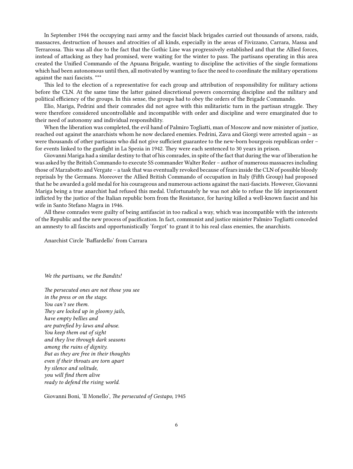In September 1944 the occupying nazi army and the fascist black brigades carried out thousands of arsons, raids, massacres, destruction of houses and atrocities of all kinds, especially in the areas of Fivizzano, Carrara, Massa and Terrarossa. This was all due to the fact that the Gothic Line was progressively established and that the Allied forces, instead of attacking as they had promised, were waiting for the winter to pass. The partisans operating in this area created the Unified Commando of the Apuana Brigade, wanting to discipline the activities of the single formations which had been autonomous until then, all motivated by wanting to face the need to coordinate the military operations against the nazi fascists. \*\*\*

This led to the election of a representative for each group and attribution of responsibility for military actions before the CLN. At the same time the latter gained discretional powers concerning discipline and the military and political efficiency of the groups. In this sense, the groups had to obey the orders of the Brigade Commando.

Elio, Mariga, Pedrini and their comrades did not agree with this militaristic turn in the partisan struggle. They were therefore considered uncontrollable and incompatible with order and discipline and were emarginated due to their need of autonomy and individual responsibility.

When the liberation was completed, the evil hand of Palmiro Togliatti, man of Moscow and now minister of justice, reached out against the anarchists whom he now declared enemies. Pedrini, Zava and Giorgi were arrested again – as were thousands of other partisans who did not give sufficient guarantee to the new-born bourgeois republican order – for events linked to the gunfight in La Spezia in 1942. They were each sentenced to 30 years in prison.

Giovanni Mariga had a similar destiny to that of his comrades, in spite of the fact that during the war of liberation he was asked by the British Commando to execute SS commander Walter Reder – author of numerous massacres including those of Marzabotto and Vergate – a task that was eventually revoked because of fears inside the CLN of possible bloody reprisals by the Germans. Moreover the Allied British Commando of occupation in Italy (Fifth Group) had proposed that he be awarded a gold medal for his courageous and numerous actions against the nazi-fascists. However, Giovanni Mariga being a true anarchist had refused this medal. Unfortunately he was not able to refuse the life imprisonment inflicted by the justice of the Italian republic born from the Resistance, for having killed a well-known fascist and his wife in Santo Stefano Magra in 1946.

All these comrades were guilty of being antifascist in too radical a way, which was incompatible with the interests of the Republic and the new process of pacification. In fact, communist and justice minister Palmiro Togliatti conceded an amnesty to all fascists and opportunistically 'forgot' to grant it to his real class enemies, the anarchists.

Anarchist Circle 'Baffardello' from Carrara

*We the partisans, we the Bandits!*

*The persecuted ones are not those you see in the press or on the stage. You can't see them. They are locked up in gloomy jails, have empty bellies and are putrefied by laws and abuse. You keep them out of sight and they live through dark seasons among the ruins of dignity. But as they are free in their thoughts even if their throats are torn apart by silence and solitude, you will find them alive ready to defend the rising world.*

Giovanni Boni, 'Il Monello', *The persecuted of Gestapo,* 1945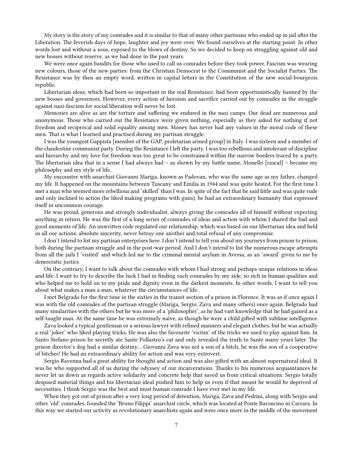My story is the story of my comrades and it is similar to that of many other partisans who ended up in jail after the Liberation. The feverish days of hope, laughter and joy were over. We found ourselves at the starting point. In other words lost and without a sous, exposed to the blows of destiny. So we decided to keep on struggling against old and new bosses without reserve, as we had done in the past years.

We were once again bandits for those who used to call us comrades before they took power. Fascism was wearing new colours, those of the new parties: from the Christian Democrat to the Communist and the Socialist Parties. The Resistance was by then an empty word, written in capital letters in the Constitution of the new social-bourgeois republic.

Libertarian ideas, which had been so important in the real Resistance, had been opportunistically banned by the new bosses and governors. However, every action of heroism and sacrifice carried out by comrades in the struggle against nazi-fascism for social liberation will never be lost.

Memories are alive as are the torture and suffering we endured in the nazi camps. Our dead are numerous and anonymous. Those who carried out the Resistance were given nothing, especially as they asked for nothing if not freedom and reciprocal and solid equality among men. Money has never had any values in the moral code of these men. That is what I learned and practised during my partisan struggle.

I was the youngest Gappista [member of the GAP, proletarian armed group] in Italy. I was sixteen and a member of the clandestine communist party. During the Resistance I left the party. I was too rebellious and intolerant of discipline and hierarchy and my love for freedom was too great to be constrained within the narrow borders traced by a party. The libertarian idea that in a sense I had always had – as shown by my battle name, Monello [rascal] – became my philosophy and my style of life.

My encounter with anarchist Giovanni Mariga, known as Padovan, who was the same age as my father, changed my life. It happened on the mountains between Tuscany and Emilia in 1944 and was quite heated. For the first time I met a man who seemed more rebellious and 'skilled' than I was. In spite of the fact that he said little and was quite rude and only inclined to action (he liked making programs with guns), he had an extraordinary humanity that expressed itself in uncommon courage.

He was proud, generous and strongly individualist, always giving the comrades all of himself without expecting anything in return. He was the first of a long series of comrades of ideas and action with whom I shared the bad and good moments of life. An unwritten code regulated our relationship, which was based on our libertarian idea and held in all our actions: absolute sincerity, never betray one another and total refusal of any compromise.

I don't intend to list my partisan enterprises here. I don't intend to tell you about my journeys from prison to prison, both during the partisan struggle and in the post-war period. And I don't intend to list the numerous escape attempts from all the jails I 'visited' and which led me to the criminal mental asylum in Aversa, as an 'award' given to me by democratic justice.

On the contrary, I want to talk about the comrades with whom I had strong and perhaps unique relations in ideas and life. I want to try to describe the luck I had in finding such comrades by my side, so rich in human qualities and who helped me to hold on to my pride and dignity even in the darkest moments. In other words, I want to tell you about what makes a man a man, whatever the circumstances of life.

I met Belgrado for the first time in the sixties in the transit section of a prison in Florence. It was as if once again I was with the old comrades of the partisan struggle (Mariga, Sergio, Zava and many others) once again. Belgrado had many similarities with the others but he was more of a 'philosopher', as he had vast knowledge that he had gained as a self-taught man. At the same time he was extremely naïve, as though he were a child gifted with sublime intelligence.

Zava looked a typical gentleman or a serious lawyer with refined manners and elegant clothes, but he was actually a real 'joker' who liked playing tricks. He was also the favourite 'victim' of the tricks we used to play against him. In Santo Stefano prison he secretly ate Sante Pollastro's cat and only revealed the truth to Sante many years later. The prison director's dog had a similar destiny… Giovanni Zava was not a son of a bitch, he was the son of a cooperative of bitches! He had an extraordinary ability for action and was very extrovert.

Sergio Ravenna had a great ability for thought and action and was also gifted with an almost supernatural ideal. It was he who supported all of us during the odyssey of our incarcerations. Thanks to his numerous acquaintances he never let us down as regards active solidarity and concrete help that saved us from critical situations. Sergio totally despised material things and his libertarian ideal pushed him to help us even if that meant he would be deprived of necessities. I think Sergio was the best and most human comrade I have ever met in my life.

When they got out of prison after a very long period of detention, Mariga, Zava and Pedrini, along with Sergio and other 'old' comrades, founded the 'Bruno Filippi' anarchist circle, which was located at Ponte Baroncino in Carrara. In this way we started our activity as revolutionary anarchists again and were once more in the middle of the movement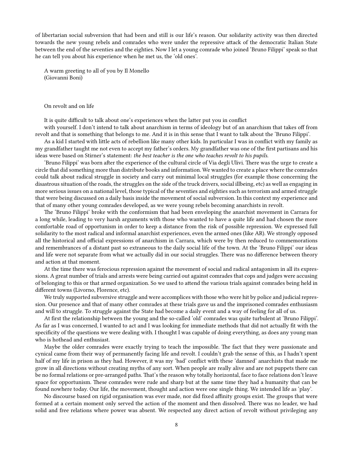of libertarian social subversion that had been and still is our life's reason. Our solidarity activity was then directed towards the new young rebels and comrades who were under the repressive attack of the democratic Italian State between the end of the seventies and the eighties. Now I let a young comrade who joined 'Bruno Filippi' speak so that he can tell you about his experience when he met us, the 'old ones'.

A warm greeting to all of you by Il Monello (Giovanni Boni)

On revolt and on life

It is quite difficult to talk about one's experiences when the latter put you in conflict

with yourself. I don't intend to talk about anarchism in terms of ideology but of an anarchism that takes off from revolt and that is something that belongs to me. And it is in this sense that I want to talk about the 'Bruno Filippi'.

As a kid I started with little acts of rebellion like many other kids. In particular I was in conflict with my family as my grandfather taught me not even to accept my father's orders. My grandfather was one of the first partisans and his ideas were based on Stirner's statement: *the best teacher is the one who teaches revolt to his pupils.*

'Bruno Filippi' was born after the experience of the cultural circle of Via degli Ulivi. There was the urge to create a circle that did something more than distribute books and information. We wanted to create a place where the comrades could talk about radical struggle in society and carry out minimal local struggles (for example those concerning the disastrous situation of the roads, the struggles on the side of the truck drivers, social illbeing, etc) as well as engaging in more serious issues on a national level, those typical of the seventies and eighties such as terrorism and armed struggle that were being discussed on a daily basis inside the movement of social subversion. In this context my experience and that of many other young comrades developed, as we were young rebels becoming anarchists in revolt.

The 'Bruno Filippi' broke with the conformism that had been enveloping the anarchist movement in Carrara for a long while, leading to very harsh arguments with those who wanted to have a quite life and had chosen the more comfortable road of opportunism in order to keep a distance from the risk of possible repression. We expressed full solidarity to the most radical and informal anarchist experiences, even the armed ones (like AR). We strongly opposed all the historical and official expressions of anarchism in Carrara, which were by then reduced to commemorations and remembrances of a distant past so extraneous to the daily social life of the town. At the 'Bruno Filippi' our ideas and life were not separate from what we actually did in our social struggles. There was no difference between theory and action at that moment.

At the time there was ferocious repression against the movement of social and radical antagonism in all its expressions. A great number of trials and arrests were being carried out against comrades that cops and judges were accusing of belonging to this or that armed organization. So we used to attend the various trials against comrades being held in different towns (Livorno, Florence, etc).

We truly supported subversive struggle and were accomplices with those who were hit by police and judicial repression. Our presence and that of many other comrades at these trials gave us and the imprisoned comrades enthusiasm and will to struggle. To struggle against the State had become a daily event and a way of feeling for all of us.

At first the relationship between the young and the so-called 'old' comrades was quite turbulent at 'Bruno Filippi'. As far as I was concerned, I wanted to act and I was looking for immediate methods that did not actually fit with the specificity of the questions we were dealing with. I thought I was capable of doing everything, as does any young man who is hothead and enthusiast.

Maybe the older comrades were exactly trying to teach the impossible. The fact that they were passionate and cynical came from their way of permanently facing life and revolt. I couldn't grab the sense of this, as I hadn't spent half of my life in prison as they had. However, it was my 'bad' conflict with these 'damned' anarchists that made me grow in all directions without creating myths of any sort. When people are really alive and are not puppets there can be no formal relations or pre-arranged paths. That's the reason why totally horizontal, face to face relations don't leave space for opportunism. These comrades were rude and sharp but at the same time they had a humanity that can be found nowhere today. Our life, the movement, thought and action were one single thing. We intended life as 'play'.

No discourse based on rigid organisation was ever made, nor did fixed affinity groups exist. The groups that were formed at a certain moment only served the action of the moment and then dissolved. There was no leader, we had solid and free relations where power was absent. We respected any direct action of revolt without privileging any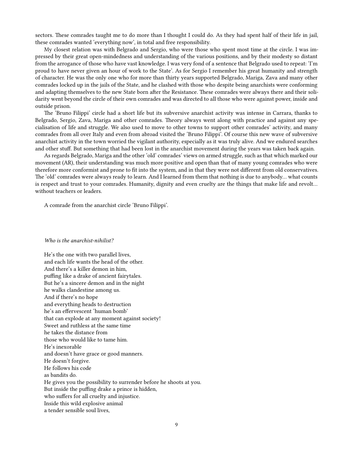sectors. These comrades taught me to do more than I thought I could do. As they had spent half of their life in jail, these comrades wanted 'everything now', in total and free responsibility.

My closest relation was with Belgrado and Sergio, who were those who spent most time at the circle. I was impressed by their great open-mindedness and understanding of the various positions, and by their modesty so distant from the arrogance of those who have vast knowledge. I was very fond of a sentence that Belgrado used to repeat: 'I'm proud to have never given an hour of work to the State'. As for Sergio I remember his great humanity and strength of character. He was the only one who for more than thirty years supported Belgrado, Mariga, Zava and many other comrades locked up in the jails of the State, and he clashed with those who despite being anarchists were conforming and adapting themselves to the new State born after the Resistance. These comrades were always there and their solidarity went beyond the circle of their own comrades and was directed to all those who were against power, inside and outside prison.

The 'Bruno Filippi' circle had a short life but its subversive anarchist activity was intense in Carrara, thanks to Belgrado, Sergio, Zava, Mariga and other comrades. Theory always went along with practice and against any specialisation of life and struggle. We also used to move to other towns to support other comrades' activity, and many comrades from all over Italy and even from abroad visited the 'Bruno Filippi'. Of course this new wave of subversive anarchist activity in the town worried the vigilant authority, especially as it was truly alive. And we endured searches and other stuff. But something that had been lost in the anarchist movement during the years was taken back again.

As regards Belgrado, Mariga and the other 'old' comrades' views on armed struggle, such as that which marked our movement (AR), their understanding was much more positive and open than that of many young comrades who were therefore more conformist and prone to fit into the system, and in that they were not different from old conservatives. The 'old' comrades were always ready to learn. And I learned from them that nothing is due to anybody… what counts is respect and trust to your comrades. Humanity, dignity and even cruelty are the things that make life and revolt… without teachers or leaders.

A comrade from the anarchist circle 'Bruno Filippi'.

#### *Who is the anarchist-nihilist?*

He's the one with two parallel lives, and each life wants the head of the other. And there's a killer demon in him, puffing like a drake of ancient fairytales. But he's a sincere demon and in the night he walks clandestine among us. And if there's no hope and everything heads to destruction he's an effervescent 'human bomb' that can explode at any moment against society! Sweet and ruthless at the same time he takes the distance from those who would like to tame him. He's inexorable and doesn't have grace or good manners. He doesn't forgive. He follows his code as bandits do. He gives you the possibility to surrender before he shoots at you. But inside the puffing drake a prince is hidden, who suffers for all cruelty and injustice. Inside this wild explosive animal a tender sensible soul lives,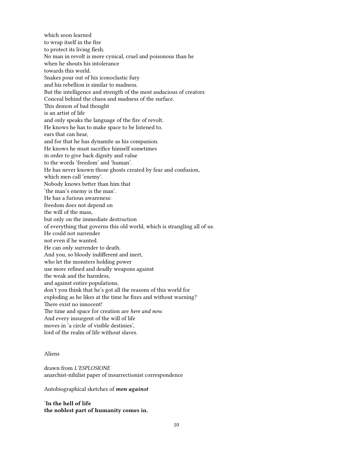which soon learned to wrap itself in the fire to protect its living flesh. No man in revolt is more cynical, cruel and poisonous than he when he shouts his intolerance towards this world. Snakes pour out of his iconoclastic fury and his rebellion is similar to madness. But the intelligence and strength of the most audacious of creators Conceal behind the chaos and madness of the surface. This demon of bad thought is an artist of life and only speaks the language of the fire of revolt. He knows he has to make space to be listened to, ears that can hear, and for that he has dynamite as his companion. He knows he must sacrifice himself sometimes in order to give back dignity and value to the words 'freedom' and 'human'. He has never known those ghosts created by fear and confusion, which men call 'enemy'. Nobody knows better than him that 'the man's enemy is the man'. He has a furious awareness: freedom does not depend on the will of the mass, but only on the immediate destruction of everything that governs this old world, which is strangling all of us. He could not surrender not even if he wanted. He can only surrender to death. And you, so bloody indifferent and inert, who let the monsters holding power use more refined and deadly weapons against the weak and the harmless, and against entire populations, don't you think that he's got all the reasons of this world for exploding as he likes at the time he fixes and without warning? There exist no innocent! The time and space for creation are *here and now.* And every insurgent of the will of life moves in 'a circle of visible destinies', lord of the realm of life without slaves.

#### Aliens

drawn from *L'ESPLOSIONE* anarchist-nihilist paper of insurrectionist correspondence

Autobiographical sketches of *men against*

'**In the hell of life the noblest part of humanity comes in.**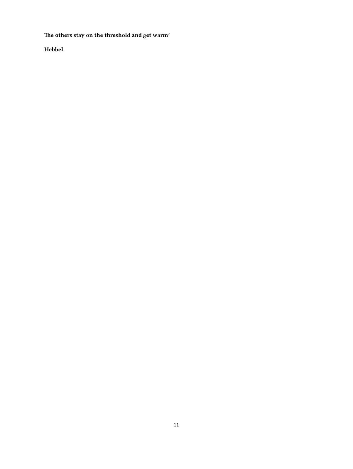**The others stay on the threshold and get warm'**

**Hebbel**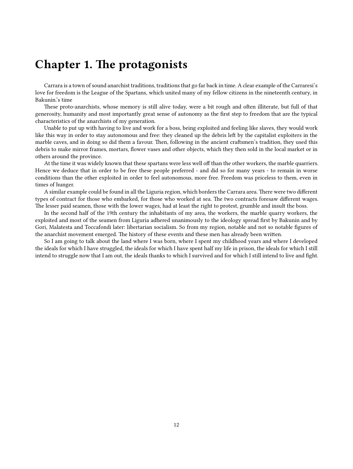## <span id="page-11-0"></span>**Chapter 1. The protagonists**

Carrara is a town of sound anarchist traditions, traditions that go far back in time. A clear example of the Carraresi's love for freedom is the League of the Spartans, which united many of my fellow citizens in the nineteenth century, in Bakunin.'s time

These proto-anarchists, whose memory is still alive today, were a bit rough and often illiterate, but full of that generosity, humanity and most importantly great sense of autonomy as the first step to freedom that are the typical characteristics of the anarchists of my generation.

Unable to put up with having to live and work for a boss, being exploited and feeling like slaves, they would work like this way in order to stay autonomous and free: they cleaned up the debris left by the capitalist exploiters in the marble caves, and in doing so did them a favour. Then, following in the ancient craftsmen's tradition, they used this debris to make mirror frames, mortars, flower vases and other objects, which they then sold in the local market or in others around the province.

At the time it was widely known that these spartans were less well off than the other workers, the marble quarriers. Hence we deduce that in order to be free these people preferred - and did so for many years - to remain in worse conditions than the other exploited in order to feel autonomous, more free. Freedom was priceless to them, even in times of hunger.

A similar example could be found in all the Liguria region, which borders the Carrara area. There were two different types of contract for those who embarked, for those who worked at sea. The two contracts foresaw different wages. The lesser paid seamen, those with the lower wages, had at least the right to protest, grumble and insult the boss.

In the second half of the 19th century the inhabitants of my area, the workers, the marble quarry workers, the exploited and most of the seamen from Liguria adhered unanimously to the ideology spread first by Bakunin and by Gori, Malatesta and Toccafondi later: libertarian socialism. So from my region, notable and not so notable figures of the anarchist movement emerged. The history of these events and these men has already been written.

So I am going to talk about the land where I was born, where I spent my childhood years and where I developed the ideals for which I have struggled, the ideals for which I have spent half my life in prison, the ideals for which I still intend to struggle now that I am out, the ideals thanks to which I survived and for which I still intend to live and fight.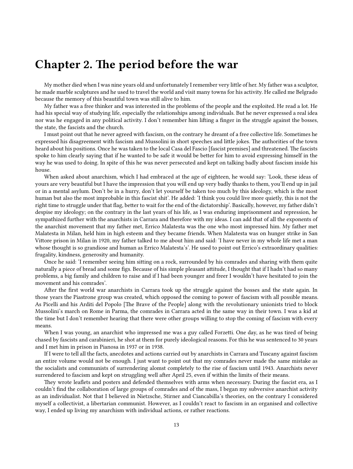## <span id="page-12-0"></span>**Chapter 2. The period before the war**

My mother died when I was nine years old and unfortunately I remember very little of her. My father was a sculptor, he made marble sculptures and he used to travel the world and visit many towns for his activity. He called me Belgrado because the memory of this beautiful town was still alive to him.

My father was a free thinker and was interested in the problems of the people and the exploited. He read a lot. He had his special way of studying life, especially the relationships among individuals. But he never expressed a real idea nor was he engaged in any political activity. I don't remember him lifting a finger in the struggle against the bosses, the state, the fascists and the church.

I must point out that he never agreed with fascism, on the contrary he dreamt of a free collective life. Sometimes he expressed his disagreement with fascism and Mussolini in short speeches and little jokes. The authorities of the town heard about his positions. Once he was taken to the local Casa del Fascio [fascist premises] and threatened. The fascists spoke to him clearly saying that if he wanted to be safe it would be better for him to avoid expressing himself in the way he was used to doing. In spite of this he was never persecuted and kept on talking badly about fascism inside his house.

When asked about anarchism, which I had embraced at the age of eighteen, he would say: 'Look, these ideas of yours are very beautiful but I have the impression that you will end up very badly thanks to them, you'll end up in jail or in a mental asylum. Don't be in a hurry, don't let yourself be taken too much by this ideology, which is the most human but also the most improbable in this fascist shit'. He added: 'I think you could live more quietly, this is not the right time to struggle under that flag, better to wait for the end of the dictatorship'. Basically, however, my father didn't despise my ideology; on the contrary in the last years of his life, as I was enduring imprisonment and repression, he sympathized further with the anarchists in Carrara and therefore with my ideas. I can add that of all the exponents of the anarchist movement that my father met, Errico Malatesta was the one who most impressed him. My father met Malatesta in Milan, held him in high esteem and they became friends. When Malatesta was on hunger strike in San Vittore prison in Milan in 1920, my father talked to me about him and said: 'I have never in my whole life met a man whose thought is so grandiose and human as Errico Malatesta's'. He used to point out Errico's extraordinary qualities: frugality, kindness, generosity and humanity.

Once he said: 'I remember seeing him sitting on a rock, surrounded by his comrades and sharing with them quite naturally a piece of bread and some figs. Because of his simple pleasant attitude, I thought that if I hadn't had so many problems, a big family and children to raise and if I had been younger and freer I wouldn't have hesitated to join the movement and his comrades'.

After the first world war anarchists in Carrara took up the struggle against the bosses and the state again. In those years the Piastrone group was created, which opposed the coming to power of fascism with all possible means. As Picelli and his Arditi del Popolo [The Brave of the People] along with the revolutionary unionists tried to block Mussolini's march on Rome in Parma, the comrades in Carrara acted in the same way in their town. I was a kid at the time but I don't remember hearing that there were other groups willing to stop the coming of fascism with every means.

When I was young, an anarchist who impressed me was a guy called Forzetti. One day, as he was tired of being chased by fascists and carabinieri, he shot at them for purely ideological reasons. For this he was sentenced to 30 years and I met him in prison in Pianosa in 1937 or in 1938.

If I were to tell all the facts, anecdotes and actions carried out by anarchists in Carrara and Tuscany against fascism an entire volume would not be enough. I just want to point out that my comrades never made the same mistake as the socialists and communists of surrendering alomst completely to the rise of fascism until 1943. Anarchists never surrendered to fascism and kept on struggling well after April 25, even if within the limits of their means.

They wrote leaflets and posters and defended themselves with arms when necessary. During the fascist era, as I couldn't find the collaboration of large groups of comrades and of the mass, I began my subversive anarchist activity as an individualist. Not that I believed in Nietzsche, Stirner and Ciancabilla's theories, on the contrary I considered myself a collectivist, a libertarian communist. However, as I couldn't react to fascism in an organised and collective way, I ended up living my anarchism with individual actions, or rather reactions.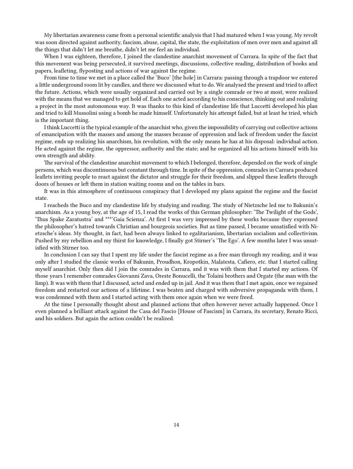My libertarian awareness came from a personal scientific analysis that I had matured when I was young. My revolt was soon directed against authority, fascism, abuse, capital, the state, the exploitation of men over men and against all the things that didn't let me breathe, didn't let me feel an individual.

When I was eighteen, therefore, I joined the clandestine anarchist movement of Carrara. In spite of the fact that this movement was being persecuted, it survived meetings, discussions, collective reading, distribution of books and papers, leafleting, flyposting and actions of war against the regime.

From time to time we met in a place called the 'Buco' [the hole] in Carrara: passing through a trapdoor we entered a little underground room lit by candles, and there we discussed what to do. We analysed the present and tried to affect the future. Actions, which were usually organized and carried out by a single comrade or two at most, were realized with the means that we managed to get hold of. Each one acted according to his conscience, thinking out and realizing a project in the most autonomous way. It was thanks to this kind of clandestine life that Luccetti developed his plan and tried to kill Mussolini using a bomb he made himself. Unfortunately his attempt failed, but at least he tried, which is the important thing.

I think Luccetti is the typical example of the anarchist who, given the impossibility of carrying out collective actions of emancipation with the masses and among the masses because of oppression and lack of freedom under the fascist regime, ends up realizing his anarchism, his revolution, with the only means he has at his disposal: individual action. He acted against the regime, the oppressor, authority and the state; and he organized all his actions himself with his own strength and ability.

The survival of the clandestine anarchist movement to which I belonged, therefore, depended on the work of single persons, which was discontinuous but constant through time. In spite of the oppression, comrades in Carrara produced leaflets inviting people to react against the dictator and struggle for their freedom, and slipped these leaflets through doors of houses or left them in station waiting rooms and on the tables in bars.

It was in this atmosphere of continuous conspiracy that I developed my plans against the regime and the fascist state.

I reacheds the Buco and my clandestine life by studying and reading. The study of Nietzsche led me to Bakunin's anarchism. As a young boy, at the age of 15, I read the works of this German philosopher: 'The Twilight of the Gods', 'Thus Spake Zaratustra' and \*\*\*'Gaia Scienza'. At first I was very impressed by these works because they expressed the philosopher's hatred towards Christian and bourgeois societies. But as time passed, I became unsatisfied with Nietzsche's ideas. My thought, in fact, had been always linked to egalitarianism, libertarian socialism and collectivism. Pushed by my rebellion and my thirst for knowledge, I finally got Stirner's 'The Ego'. A few months later I was unsatisfied with Stirner too.

In conclusion I can say that I spent my life under the fascist regime as a free man through my reading, and it was only after I studied the classic works of Bakunin, Proudhon, Kropotkin, Malatesta, Cafiero, etc. that I started calling myself anarchist. Only then did I join the comrades in Carrara, and it was with them that I started my actions. Of those years I remember comrades Giovanni Zava, Oreste Bonucelli, the Tolaini brothers and Orgate (the man with the limp). It was with them that I discussed, acted and ended up in jail. And it was them that I met again, once we regained freedom and restarted our actions of a lifetime. I was beaten and charged with subversive propaganda with them, I was condemned with them and I started acting with them once again when we were freed.

At the time I personally thought about and planned actions that often however never actually happened. Once I even planned a brilliant attack against the Casa del Fascio [House of Fascism] in Carrara, its secretary, Renato Ricci, and his soldiers. But again the action couldn't be realized.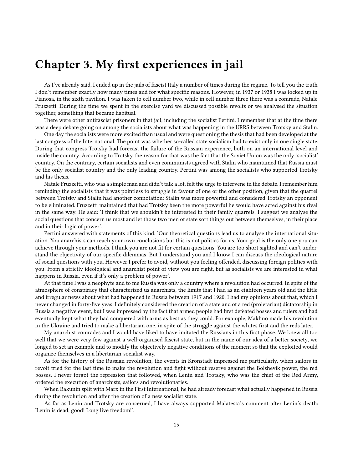## <span id="page-14-0"></span>**Chapter 3. My first experiences in jail**

As I've already said, I ended up in the jails of fascist Italy a number of times during the regime. To tell you the truth I don't remember exactly how many times and for what specific reasons. However, in 1937 or 1938 I was locked up in Pianosa, in the sixth pavilion. I was taken to cell number two, while in cell number three there was a comrade, Natale Fruzzetti. During the time we spent in the exercise yard we discussed possible revolts or we analysed the situation together, something that became habitual.

There were other antifascist prisoners in that jail, including the socialist Pertini. I remember that at the time there was a deep debate going on among the socialists about what was happening in the URRS between Trotsky and Stalin.

One day the socialists were more excited than usual and were questioning the thesis that had been developed at the last congress of the International. The point was whether so-called state socialism had to exist only in one single state. During that congress Trotsky had forecast the failure of the Russian experience, both on an international level and inside the country. According to Trotsky the reason for that was the fact that the Soviet Union was the only 'socialist' country. On the contrary, certain socialists and even communists agreed with Stalin who maintained that Russia must be the only socialist country and the only leading country. Pertini was among the socialists who supported Trotsky and his thesis.

Natale Fruzzetti, who was a simple man and didn't talk a lot, felt the urge to intervene in the debate. I remember him reminding the socialists that it was pointless to struggle in favour of one or the other position, given that the quarrel between Trotsky and Stalin had another connotation: Stalin was more powerful and considered Trotsky an opponent to be eliminated. Fruzzetti maintained that had Trotsky been the more powerful he would have acted against his rival in the same way. He said: 'I think that we shouldn't be interested in their family quarrels. I suggest we analyse the social questions that concern us most and let those two men of state sort things out between themselves, in their place and in their logic of power'.

Pertini answered with statements of this kind: 'Our theoretical questions lead us to analyse the international situation. You anarchists can reach your own conclusions but this is not politics for us. Your goal is the only one you can achieve through your methods. I think you are not fit for certain questions. You are too short sighted and can't understand the objectivity of our specific dilemmas. But I understand you and I know I can discuss the ideological nature of social questions with you. However I prefer to avoid, without you feeling offended, discussing foreign politics with you. From a strictly ideological and anarchist point of view you are right, but as socialists we are interested in what happens in Russia, even if it's only a problem of power'.

At that time I was a neophyte and to me Russia was only a country where a revolution had occurred. In spite of the atmosphere of conspiracy that characterized us anarchists, the limits that I had as an eighteen years old and the little and irregular news about what had happened in Russia between 1917 and 1920, I had my opinions about that, which I never changed in forty-five yeas. I definitely considered the creation of a state and of a red (proletarian) dictatorship in Russia a negative event, but I was impressed by the fact that armed people had first defeated bosses and rulers and had eventually kept what they had conquered with arms as best as they could. For example, Makhno made his revolution in the Ukraine and tried to make a libertarian one, in spite of the struggle against the whites first and the reds later.

My anarchist comrades and I would have liked to have imitated the Russians in this first phase. We knew all too well that we were very few against a well-organised fascist state, but in the name of our idea of a better society, we longed to set an example and to modify the objectively negative conditions of the moment so that the exploited would organize themselves in a libertarian-socialist way.

As for the history of the Russian revolution, the events in Kronstadt impressed me particularly, when sailors in revolt tried for the last time to make the revolution and fight without reserve against the Bolshevik power, the red bosses. I never forgot the repression that followed, when Lenin and Trotsky, who was the chief of the Red Army, ordered the execution of anarchists, sailors and revolutionaries.

When Bakunin split with Marx in the First International, he had already forecast what actually happened in Russia during the revolution and after the creation of a new socialist state.

As far as Lenin and Trotsky are concerned, I have always supported Malatesta's comment after Lenin's death: 'Lenin is dead, good! Long live freedom!'.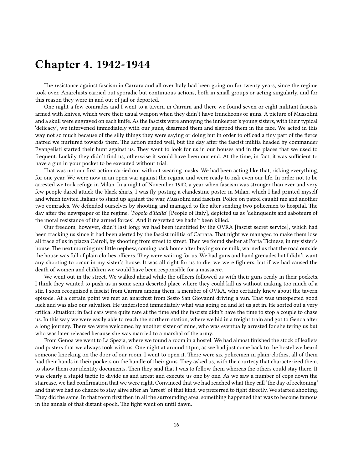## <span id="page-15-0"></span>**Chapter 4. 1942-1944**

The resistance against fascism in Carrara and all over Italy had been going on for twenty years, since the regime took over. Anarchists carried out sporadic but continuous actions, both in small groups or acting singularly, and for this reason they were in and out of jail or deported.

One night a few comrades and I went to a tavern in Carrara and there we found seven or eight militant fascists armed with knives, which were their usual weapon when they didn't have truncheons or guns. A picture of Mussolini and a skull were engraved on each knife. As the fascists were annoying the innkeeper's young sisters, with their typical 'delicacy', we intervened immediately with our guns, disarmed them and slapped them in the face. We acted in this way not so much because of the silly things they were saying or doing but in order to offload a tiny part of the fierce hatred we nurtured towards them. The action ended well, but the day after the fascist militia headed by commander Evangelisti started their hunt against us. They went to look for us in our houses and in the places that we used to frequent. Luckily they didn't find us, otherwise it would have been our end. At the time, in fact, it was sufficient to have a gun in your pocket to be executed without trial.

That was not our first action carried out without wearing masks. We had been acting like that, risking everything, for one year. We were now in an open war against the regime and were ready to risk even our life. In order not to be arrested we took refuge in Milan. In a night of November 1942, a year when fascism was stronger than ever and very few people dared attack the black shirts, I was fly-posting a clandestine poster in Milan, which I had printed myself and which invited Italians to stand up against the war, Mussolini and fascism. Police on patrol caught me and another two comrades. We defended ourselves by shooting and managed to flee after sending two policemen to hospital. The day after the newspaper of the regime, '*Popolo d'Italia*' [People of Italy], depicted us as 'delinquents and saboteurs of the moral resistance of the armed forces'. And it regretted we hadn't been killed.

Our freedom, however, didn't last long: we had been identified by the OVRA [fascist secret service], which had been tracking us since it had been alerted by the fascist militia of Carrara. That night we managed to make them lose all trace of us in piazza Cairoli, by shooting from street to street. Then we found shelter at Porta Ticinese, in my sister's house. The next morning my little nephew, coming back home after buying some milk, warned us that the road outside the house was full of plain clothes officers. They were waiting for us. We had guns and hand grenades but I didn't want any shooting to occur in my sister's house. It was all right for us to die, we were fighters, but if we had caused the death of women and children we would have been responsible for a massacre.

We went out in the street. We walked ahead while the officers followed us with their guns ready in their pockets. I think they wanted to push us in some semi deserted place where they could kill us without making too much of a stir. I soon recognized a fascist from Carrara among them, a member of OVRA, who certainly knew about the tavern episode. At a certain point we met an anarchist from Sesto San Giovanni driving a van. That was unexpected good luck and was also our salvation. He understood immediately what was going on and let us get in. He sorted out a very critical situation: in fact cars were quite rare at the time and the fascists didn't have the time to stop a couple to chase us. In this way we were easily able to reach the northern station, where we hid in a freight train and got to Genoa after a long journey. There we were welcomed by another sister of mine, who was eventually arrested for sheltering us but who was later released because she was married to a marshal of the army.

From Genoa we went to La Spezia, where we found a room in a hostel. We had almost finished the stock of leaflets and posters that we always took with us. One night at around 11pm, as we had just come back to the hostel we heard someone knocking on the door of our room. I went to open it. There were six policemen in plain-clothes, all of them had their hands in their pockets on the handle of their guns. They asked us, with the courtesy that characterized them, to show them our identity documents. Then they said that I was to follow them whereas the others could stay there. It was clearly a stupid tactic to divide us and arrest and execute us one by one. As we saw a number of cops down the staircase, we had confirmation that we were right. Convinced that we had reached what they call 'the day of reckoning' and that we had no chance to stay alive after an 'arrest' of that kind, we preferred to fight directly. We started shooting. They did the same. In that room first then in all the surrounding area, something happened that was to become famous in the annals of that distant epoch. The fight went on until dawn.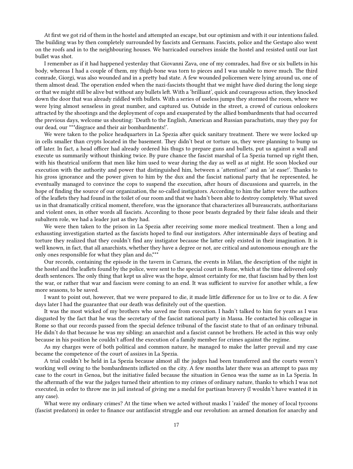At first we got rid of them in the hostel and attempted an escape, but our optimism and with it our intentions failed. The building was by then completely surrounded by fascists and Germans. Fascists, police and the Gestapo also went on the roofs and in to the neighbouring houses. We barricaded ourselves inside the hostel and resisted until our last bullet was shot.

I remember as if it had happened yesterday that Giovanni Zava, one of my comrades, had five or six bullets in his body, whereas I had a couple of them, my thigh-bone was torn to pieces and I was unable to move much. The third comrade, Giorgi, was also wounded and in a pretty bad state. A few wounded policemen were lying around us, one of them almost dead. The operation ended when the nazi-fascists thought that we might have died during the long siege or that we might still be alive but without any bullets left. With a 'brilliant', quick and courageous action, they knocked down the door that was already riddled with bullets. With a series of useless jumps they stormed the room, where we were lying almost senseless in great number, and captured us. Outside in the street, a crowd of curious onlookers attracted by the shootings and the deployment of cops and exasperated by the allied bombardments that had occurred the previous days, welcome us shouting: 'Death to the English, American and Russian parachutists, may they pay for our dead, our \*\*\*disgrace and their air bombardments!'.

We were taken to the police headquarters in La Spezia after quick sanitary treatment. There we were locked up in cells smaller than crypts located in the basement. They didn't beat or torture us, they were planning to bump us off later. In fact, a head officer had already ordered his thugs to prepare guns and bullets, put us against a wall and execute us summarily without thinking twice. By pure chance the fascist marshal of La Spezia turned up right then, with his theatrical uniform that men like him used to wear during the day as well as at night. He soon blocked our execution with the authority and power that distinguished him, between a 'attention!' and an 'at ease!'. Thanks to his gross ignorance and the power given to him by the dux and the fascist national party that he represented, he eventually managed to convince the cops to suspend the execution, after hours of discussions and quarrels, in the hope of finding the source of our organization, the so-called instigators. According to him the latter were the authors of the leaflets they had found in the toilet of our room and that we hadn't been able to destroy completely. What saved us in that dramatically critical moment, therefore, was the ignorance that characterizes all bureaucrats, authoritarians and violent ones, in other words all fascists. According to those poor beasts degraded by their false ideals and their subaltern role, we had a leader just as they had.

We were then taken to the prison in La Spezia after receiving some more medical treatment. Then a long and exhausting investigation started as the fascists hoped to find our instigators. After interminable days of beating and torture they realized that they couldn't find any instigator because the latter only existed in their imagination. It is well known, in fact, that all anarchists, whether they have a degree or not, are critical and autonomous enough are the only ones responsible for what they plan and do,\*\*\*

Our records, containing the episode in the tavern in Carrara, the events in Milan, the description of the night in the hostel and the leaflets found by the police, were sent to the special court in Rome, which at the time delivered only death sentences. The only thing that kept us alive was the hope, almost certainty for me, that fascism had by then lost the war, or rather that war and fascism were coming to an end. It was sufficient to survive for another while, a few more seasons, to be saved.

I want to point out, however, that we were prepared to die, it made little difference for us to live or to die. A few days later I had the guarantee that our death was definitely out of the question.

It was the most wicked of my brothers who saved me from execution. I hadn't talked to him for years as I was disgusted by the fact that he was the secretary of the fascist national party in Massa. He contacted his colleague in Rome so that our records passed from the special defence tribunal of the fascist state to that of an ordinary tribunal. He didn't do that because he was my sibling: an anarchist and a fascist cannot be brothers. He acted in this way only because in his position he couldn't afford the execution of a family member for crimes against the regime.

As my charges were of both political and common nature, he managed to make the latter prevail and my case became the competence of the court of assizes in La Spezia.

A trial couldn't be held in La Spezia because almost all the judges had been transferred and the courts weren't working well owing to the bombardments inflicted on the city. A few months later there was an attempt to pass my case to the court in Genoa, but the initiative failed because the situation in Genoa was the same as in La Spezia. In the aftermath of the war the judges turned their attention to my crimes of ordinary nature, thanks to which I was not executed, in order to throw me in jail instead of giving me a medal for partisan bravery (I wouldn't have wanted it in any case).

What were my ordinary crimes? At the time when we acted without masks I 'raided' the money of local tycoons (fascist predators) in order to finance our antifascist struggle and our revolution: an armed donation for anarchy and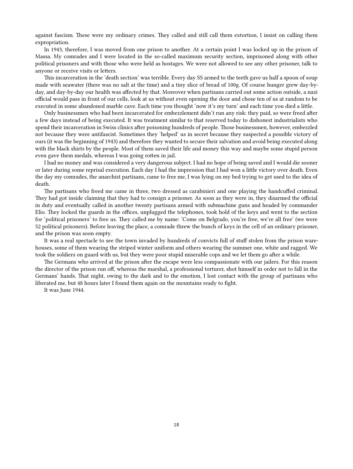against fascism. These were my ordinary crimes. They called and still call them extortion, I insist on calling them expropriation.

In 1943, therefore, I was moved from one prison to another. At a certain point I was locked up in the prison of Massa. My comrades and I were located in the so-called maximum security section, imprisoned along with other political prisoners and with those who were held as hostages. We were not allowed to see any other prisoner, talk to anyone or receive visits or letters.

This incarceration in the 'death section' was terrible. Every day SS armed to the teeth gave us half a spoon of soup made with seawater (there was no salt at the time) and a tiny slice of bread of 100g. Of course hunger grew day-byday, and day-by-day our health was affected by that. Moreover when partisans carried out some action outside, a nazi official would pass in front of our cells, look at us without even opening the door and chose ten of us at random to be executed in some abandoned marble cave. Each time you thought 'now it's my turn' and each time you died a little.

Only businessmen who had been incarcerated for embezzlement didn't run any risk: they paid, so were freed after a few days instead of being executed. It was treatment similar to that reserved today to dishonest industrialists who spend their incarceration in Swiss clinics after poisoning hundreds of people. Those businessmen, however, embezzled not because they were antifascist. Sometimes they 'helped' us in secret because they suspected a possible victory of ours (it was the beginning of 1943) and therefore they wanted to secure their salvation and avoid being executed along with the black shirts by the people. Most of them saved their life and money this way and maybe some stupid person even gave them medals, whereas I was going rotten in jail.

I had no money and was considered a very dangerous subject. I had no hope of being saved and I would die sooner or later during some reprisal execution. Each day I had the impression that I had won a little victory over death. Even the day my comrades, the anarchist partisans, came to free me, I was lying on my bed trying to get used to the idea of death.

The partisans who freed me came in three, two dressed as carabinieri and one playing the handcuffed criminal. They had got inside claiming that they had to consign a prisoner. As soon as they were in, they disarmed the official in duty and eventually called in another twenty partisans armed with submachine guns and headed by commander Elio. They locked the guards in the offices, unplugged the telephones, took hold of the keys and went to the section for 'political prisoners' to free us. They called me by name: 'Come on Belgrado, you're free, we're all free' (we were 52 political prisoners). Before leaving the place, a comrade threw the bunch of keys in the cell of an ordinary prisoner, and the prison was soon empty.

It was a real spectacle to see the town invaded by hundreds of convicts full of stuff stolen from the prison warehouses, some of them wearing the striped winter uniform and others wearing the summer one, white and ragged. We took the soldiers on guard with us, but they were poor stupid miserable cops and we let them go after a while.

The Germans who arrived at the prison after the escape were less compassionate with our jailers. For this reason the director of the prison run off, whereas the marshal, a professional torturer, shot himself in order not to fall in the Germans' hands. That night, owing to the dark and to the emotion, I lost contact with the group of partisans who liberated me, but 48 hours later I found them again on the mountains ready to fight.

It was June 1944.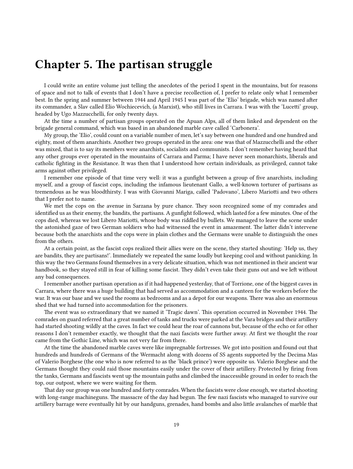## <span id="page-18-0"></span>**Chapter 5. The partisan struggle**

I could write an entire volume just telling the anecdotes of the period I spent in the mountains, but for reasons of space and not to talk of events that I don't have a precise recollection of, I prefer to relate only what I remember best. In the spring and summer between 1944 and April 1945 I was part of the 'Elio' brigade, which was named after its commander, a Slav called Elio Wochiecevich, (a Marxist), who still lives in Carrara. I was with the 'Lucetti' group, headed by Ugo Mazzucchelli, for only twenty days.

At the time a number of partisan groups operated on the Apuan Alps, all of them linked and dependent on the brigade general command, which was based in an abandoned marble cave called 'Carbonera'.

My group, the 'Elio', could count on a variable number of men, let's say between one hundred and one hundred and eighty, most of them anarchists. Another two groups operated in the area: one was that of Mazzucchelli and the other was mixed, that is to say its members were anarchists, socialists and communists. I don't remember having heard that any other groups ever operated in the mountains of Carrara and Parma; I have never seen monarchists, liberals and catholic fighting in the Resistance. It was then that I understood how certain individuals, as privileged, cannot take arms against other privileged.

I remember one episode of that time very well: it was a gunfight between a group of five anarchists, including myself, and a group of fascist cops, including the infamous lieutenant Gallo, a well-known torturer of partisans as tremendous as he was bloodthirsty. I was with Giovanni Mariga, called 'Padovano', Libero Mariotti and two others that I prefer not to name.

We met the cops on the avenue in Sarzana by pure chance. They soon recognized some of my comrades and identified us as their enemy, the bandits, the partisans. A gunfight followed, which lasted for a few minutes. One of the cops died, whereas we lost Libero Mariotti, whose body was riddled by bullets. We managed to leave the scene under the astonished gaze of two German soldiers who had witnessed the event in amazement. The latter didn't intervene because both the anarchists and the cops were in plain clothes and the Germans were unable to distinguish the ones from the others.

At a certain point, as the fascist cops realized their allies were on the scene, they started shouting: 'Help us, they are bandits, they are partisans!'. Immediately we repeated the same loudly but keeping cool and without panicking. In this way the two Germans found themselves in a very delicate situation, which was not mentioned in their ancient war handbook, so they stayed still in fear of killing some fascist. They didn't even take their guns out and we left without any bad consequences.

I remember another partisan operation as if it had happened yesterday, that of Torrione, one of the biggest caves in Carrara, where there was a huge building that had served as accommodation and a canteen for the workers before the war. It was our base and we used the rooms as bedrooms and as a depot for our weapons. There was also an enormous shed that we had turned into accommodation for the prisoners.

The event was so extraordinary that we named it 'Tragic dawn'. This operation occurred in November 1944. The comrades on guard referred that a great number of tanks and trucks were parked at the Vara bridges and their artillery had started shooting wildly at the caves. In fact we could hear the roar of cannons but, because of the echo or for other reasons I don't remember exactly, we thought that the nazi fascists were further away. At first we thought the roar came from the Gothic Line, which was not very far from there.

At the time the abandoned marble caves were like impregnable fortresses. We got into position and found out that hundreds and hundreds of Germans of the Wermacht along with dozens of SS agents supported by the Decima Mas of Valerio Borghese (the one who is now referred to as the 'black prince') were opposite us. Valerio Borghese and the Germans thought they could raid those mountains easily under the cover of their artillery. Protected by firing from the tanks, Germans and fascists went up the mountain paths and climbed the inaccessible ground in order to reach the top, our outpost, where we were waiting for them.

That day our group was one hundred and forty comrades. When the fascists were close enough, we started shooting with long-range machineguns. The massacre of the day had begun. The few nazi fascists who managed to survive our artillery barrage were eventually hit by our handguns, grenades, hand bombs and also little avalanches of marble that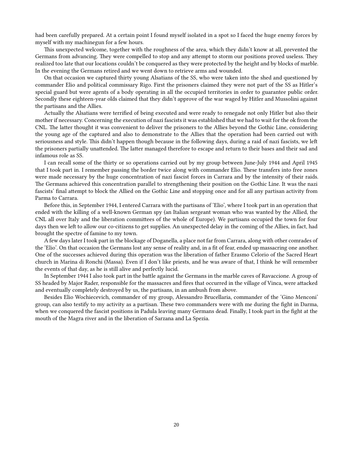had been carefully prepared. At a certain point I found myself isolated in a spot so I faced the huge enemy forces by myself with my machinegun for a few hours.

This unexpected welcome, together with the roughness of the area, which they didn't know at all, prevented the Germans from advancing. They were compelled to stop and any attempt to storm our positions proved useless. They realized too late that our locations couldn't be conquered as they were protected by the height and by blocks of marble. In the evening the Germans retired and we went down to retrieve arms and wounded.

On that occasion we captured thirty young Alsatians of the SS, who were taken into the shed and questioned by commander Elio and political commissary Rigo. First the prisoners claimed they were not part of the SS as Hitler's special guard but were agents of a body operating in all the occupied territories in order to guarantee public order. Secondly these eighteen-year olds claimed that they didn't approve of the war waged by Hitler and Mussolini against the partisans and the Allies.

Actually the Alsatians were terrified of being executed and were ready to renegade not only Hitler but also their mother if necessary. Concerning the execution of nazi fascists it was established that we had to wait for the ok from the CNL. The latter thought it was convenient to deliver the prisoners to the Allies beyond the Gothic Line, considering the young age of the captured and also to demonstrate to the Allies that the operation had been carried out with seriousness and style. This didn't happen though because in the following days, during a raid of nazi fascists, we left the prisoners partially unattended. The latter managed therefore to escape and return to their bases and their sad and infamous role as SS.

I can recall some of the thirty or so operations carried out by my group between June-July 1944 and April 1945 that I took part in. I remember passing the border twice along with commander Elio. These transfers into free zones were made necessary by the huge concentration of nazi fascist forces in Carrara and by the intensity of their raids. The Germans achieved this concentration parallel to strengthening their position on the Gothic Line. It was the nazi fascists' final attempt to block the Allied on the Gothic Line and stopping once and for all any partisan activity from Parma to Carrara.

Before this, in September 1944, I entered Carrara with the partisans of 'Elio', where I took part in an operation that ended with the killing of a well-known German spy (an Italian sergeant woman who was wanted by the Allied, the CNL all over Italy and the liberation committees of the whole of Europe). We partisans occupied the town for four days then we left to allow our co-citizens to get supplies. An unexpected delay in the coming of the Allies, in fact, had brought the spectre of famine to my town.

A few days later I took part in the blockage of Doganella, a place not far from Carrara, along with other comrades of the 'Elio'. On that occasion the Germans lost any sense of reality and, in a fit of fear, ended up massacring one another. One of the successes achieved during this operation was the liberation of father Erasmo Celorio of the Sacred Heart church in Marina di Ronchi (Massa). Even if I don't like priests, and he was aware of that, I think he will remember the events of that day, as he is still alive and perfectly lucid.

In September 1944 I also took part in the battle against the Germans in the marble caves of Ravaccione. A group of SS headed by Major Rader, responsible for the massacres and fires that occurred in the village of Vinca, were attacked and eventually completely destroyed by us, the partisans, in an ambush from above.

Besides Elio Wochiecevich, commander of my group, Alessandro Brucellaria, commander of the 'Gino Menconi' group, can also testify to my activity as a partisan. These two commanders were with me during the fight in Darma, when we conquered the fascist positions in Padula leaving many Germans dead. Finally, I took part in the fight at the mouth of the Magra river and in the liberation of Sarzana and La Spezia.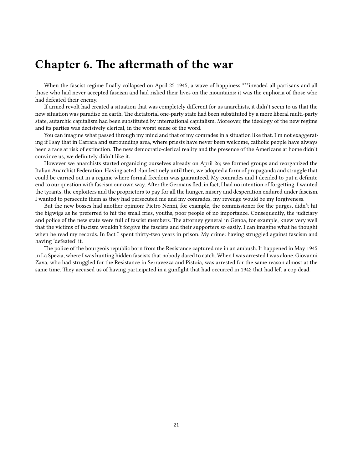## <span id="page-20-0"></span>**Chapter 6. The aftermath of the war**

When the fascist regime finally collapsed on April 25 1945, a wave of happiness \*\*\*invaded all partisans and all those who had never accepted fascism and had risked their lives on the mountains: it was the euphoria of those who had defeated their enemy.

If armed revolt had created a situation that was completely different for us anarchists, it didn't seem to us that the new situation was paradise on earth. The dictatorial one-party state had been substituted by a more liberal multi-party state, autarchic capitalism had been substituted by international capitalism. Moreover, the ideology of the new regime and its parties was decisively clerical, in the worst sense of the word.

You can imagine what passed through my mind and that of my comrades in a situation like that. I'm not exaggerating if I say that in Carrara and surrounding area, where priests have never been welcome, catholic people have always been a race at risk of extinction. The new democratic-clerical reality and the presence of the Americans at home didn't convince us, we definitely didn't like it.

However we anarchists started organizing ourselves already on April 26; we formed groups and reorganized the Italian Anarchist Federation. Having acted clandestinely until then, we adopted a form of propaganda and struggle that could be carried out in a regime where formal freedom was guaranteed. My comrades and I decided to put a definite end to our question with fascism our own way. After the Germans fled, in fact, I had no intention of forgetting. I wanted the tyrants, the exploiters and the proprietors to pay for all the hunger, misery and desperation endured under fascism. I wanted to persecute them as they had persecuted me and my comrades, my revenge would be my forgiveness.

But the new bosses had another opinion: Pietro Nenni, for example, the commissioner for the purges, didn't hit the bigwigs as he preferred to hit the small fries, youths, poor people of no importance. Consequently, the judiciary and police of the new state were full of fascist members. The attorney general in Genoa, for example, knew very well that the victims of fascism wouldn't forgive the fascists and their supporters so easily. I can imagine what he thought when he read my records. In fact I spent thirty-two years in prison. My crime: having struggled against fascism and having 'defeated' it.

The police of the bourgeois republic born from the Resistance captured me in an ambush. It happened in May 1945 in La Spezia, where I was hunting hidden fascists that nobody dared to catch. When I was arrested I was alone. Giovanni Zava, who had struggled for the Resistance in Serravezza and Pistoia, was arrested for the same reason almost at the same time. They accused us of having participated in a gunfight that had occurred in 1942 that had left a cop dead.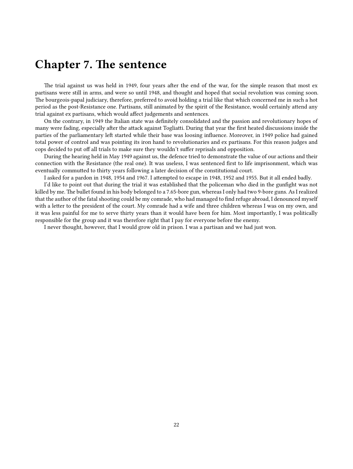## <span id="page-21-0"></span>**Chapter 7. The sentence**

The trial against us was held in 1949, four years after the end of the war, for the simple reason that most ex partisans were still in arms, and were so until 1948, and thought and hoped that social revolution was coming soon. The bourgeois-papal judiciary, therefore, preferred to avoid holding a trial like that which concerned me in such a hot period as the post-Resistance one. Partisans, still animated by the spirit of the Resistance, would certainly attend any trial against ex partisans, which would affect judgements and sentences.

On the contrary, in 1949 the Italian state was definitely consolidated and the passion and revolutionary hopes of many were fading, especially after the attack against Togliatti. During that year the first heated discussions inside the parties of the parliamentary left started while their base was loosing influence. Moreover, in 1949 police had gained total power of control and was pointing its iron hand to revolutionaries and ex partisans. For this reason judges and cops decided to put off all trials to make sure they wouldn't suffer reprisals and opposition.

During the hearing held in May 1949 against us, the defence tried to demonstrate the value of our actions and their connection with the Resistance (the real one). It was useless, I was sentenced first to life imprisonment, which was eventually commutted to thirty years following a later decision of the constitutional court.

I asked for a pardon in 1948, 1954 and 1967. I attempted to escape in 1948, 1952 and 1955. But it all ended badly.

I'd like to point out that during the trial it was established that the policeman who died in the gunfight was not killed by me. The bullet found in his body belonged to a 7.65-bore gun, whereas I only had two 9-bore guns. As I realized that the author of the fatal shooting could be my comrade, who had managed to find refuge abroad, I denounced myself with a letter to the president of the court. My comrade had a wife and three children whereas I was on my own, and it was less painful for me to serve thirty years than it would have been for him. Most importantly, I was politically responsible for the group and it was therefore right that I pay for everyone before the enemy.

I never thought, however, that I would grow old in prison. I was a partisan and we had just won.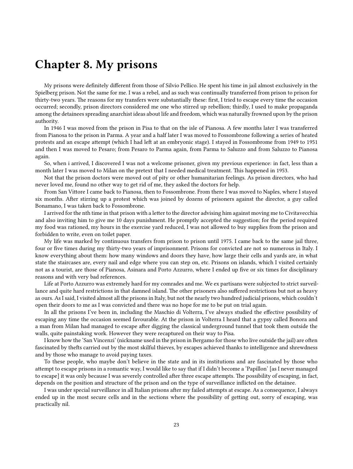## <span id="page-22-0"></span>**Chapter 8. My prisons**

My prisons were definitely different from those of Silvio Pellico. He spent his time in jail almost exclusively in the Spielberg prison. Not the same for me. I was a rebel, and as such was continually transferred from prison to prison for thirty-two years. The reasons for my transfers were substantially these: first, I tried to escape every time the occasion occurred; secondly, prison directors considered me one who stirred up rebellion; thirdly, I used to make propaganda among the detainees spreading anarchist ideas about life and freedom, which was naturally frowned upon by the prison authority.

In 1946 I was moved from the prison in Pisa to that on the isle of Pianosa. A few months later I was transferred from Pianosa to the prison in Parma. A year and a half later I was moved to Fossombrone following a series of heated protests and an escape attempt (which I had left at an embryonic stage). I stayed in Fossombrome from 1949 to 1951 and then I was moved to Pesaro; from Pesaro to Parma again, from Parma to Saluzzo and from Saluzzo to Pianosa again.

So, when i arrived, I discovered I was not a welcome prisoner, given my previous experience: in fact, less than a month later I was moved to Milan on the pretext that I needed medical treatment. This happened in 1953.

Not that the prison doctors were moved out of pity or other humanitarian feelings. As prison directors, who had never loved me, found no other way to get rid of me, they asked the doctors for help.

From San Vittore I came back to Pianosa, then to Fossombrone. From there I was moved to Naples, where I stayed six months. After stirring up a protest which was joined by dozens of prisoners against the director, a guy called Bonamano, I was taken back to Fossombrone.

I arrived for the nth time in that prison with a letter to the director advising him against moving me to Civitavecchia and also inviting him to give me 10 days punishment. He promptly accepted the suggestion; for the period required my food was rationed, my hours in the exercise yard reduced, I was not allowed to buy supplies from the prison and forbidden to write, even on toilet paper.

My life was marked by continuous transfers from prison to prison until 1975. I came back to the same jail three, four or five times during my thirty-two years of imprisonment. Prisons for convicted are not so numerous in Italy. I know everything about them: how many windows and doors they have, how large their cells and yards are, in what state the staircases are, every nail and edge where you can step on, etc. Prisons on islands, which I visited certainly not as a tourist, are those of Pianosa, Asinara and Porto Azzurro, where I ended up five or six times for disciplinary reasons and with very bad references.

Life at Porto Azzurro was extremely hard for my comrades and me. We ex partisans were subjected to strict surveillance and quite hard restrictions in that damned island. The other prisoners also suffered restrictions but not as heavy as ours. As I said, I visited almost all the prisons in Italy, but not the nearly two hundred judicial prisons, which couldn't open their doors to me as I was convicted and there was no hope for me to be put on trial again.

In all the prisons I've been in, including the Maschio di Volterra, I've always studied the effective possibility of escaping any time the occasion seemed favourable. At the prison in Volterra I heard that a gypsy called Bonora and a man from Milan had managed to escape after digging the classical underground tunnel that took them outside the walls, quite painstaking work. However they were recaptured on their way to Pisa.

I know how the 'San Vincenzi' (nickname used in the prison in Bergamo for those who live outside the jail) are often fascinated by thefts carried out by the most skilful thieves, by escapes achieved thanks to intelligence and shrewdness and by those who manage to avoid paying taxes.

To these people, who maybe don't believe in the state and in its institutions and are fascinated by those who attempt to escape prisons in a romantic way, I would like to say that if I didn't become a 'Papillon' [as I never managed to escape] it was only because I was severely controlled after three escape attempts. The possibility of escaping, in fact, depends on the position and structure of the prison and on the type of surveillance inflicted on the detainee.

I was under special surveillance in all Italian prisons after my failed attempts at escape. As a consequence, I always ended up in the most secure cells and in the sections where the possibility of getting out, sorry of escaping, was practically nil.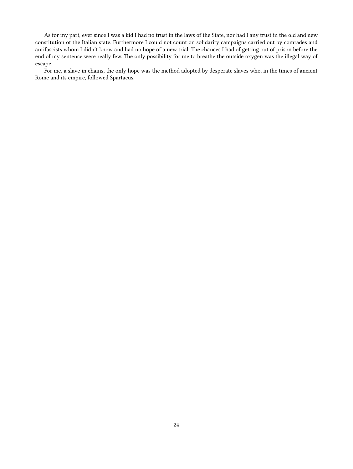As for my part, ever since I was a kid I had no trust in the laws of the State, nor had I any trust in the old and new constitution of the Italian state. Furthermore I could not count on solidarity campaigns carried out by comrades and antifascists whom I didn't know and had no hope of a new trial. The chances I had of getting out of prison before the end of my sentence were really few. The only possibility for me to breathe the outside oxygen was the illegal way of escape.

For me, a slave in chains, the only hope was the method adopted by desperate slaves who, in the times of ancient Rome and its empire, followed Spartacus.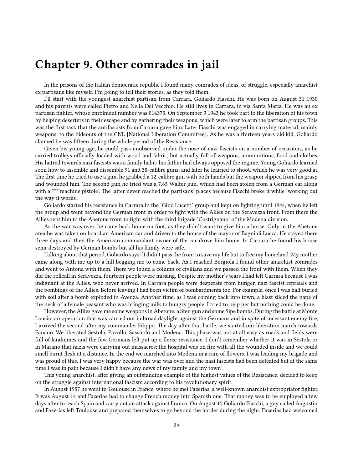## <span id="page-24-0"></span>**Chapter 9. Other comrades in jail**

In the prisons of the Italian democratic republic I found many comrades of ideas, of struggle, especially anarchist ex partisans like myself. I'm going to tell their stories, as they told them.

I'll start with the youngest anarchist partisan from Carrara, Goliardo Fiaschi. He was born on August 31 1930 and his parents were called Pietro and Nella Del Vecchio. He still lives in Carrara, in via Santa Maria. He was an ex partisan fighter, whose enrolment number was 014375. On September 9 1943 he took part to the liberation of his town by helping deserters in their escape and by gathering their weapons, which were later to arm the partisan groups. This was the first task that the antifascists from Carrara gave him. Later Fiaschi was engaged in carrying material, mainly weapons, to the hideouts of the CNL [National Liberation Committee]. As he was a thirteen years old kid, Goliardo claimed he was fifteen during the whole period of the Resistance.

Given his young age, he could pass unobserved under the nose of nazi fascists on a number of occasions, as he carried trolleys officially loaded with wood and fabric, but actually full of weapons, ammunitions, food and clothes. His hatred towards nazi fascists was a family habit: his father had always opposed the regime. Young Goliardo learned soon how to assemble and dissemble 91 and 38-calibre guns, and later he learned to shoot, which he was very good at. The first time he tried to use a gun, he grabbed a 12-calibre gun with both hands but the weapon slipped from his grasp and wounded him. The second gun he tried was a 7,65 Walter gun, which had been stolen from a German car along with a \*\*\*'machine pistole'. The latter never reached the partisans' places because Fiaschi broke it while 'working out the way it works'.

Goliardo started his resistance in Carrara in the 'Gino Lucetti' group and kept on fighting until 1944, when he left the group and went beyond the German front in order to fight with the Allies on the Seravezza front. From there the Allies sent him to the Abetone front to fight with the third brigade 'Costrignano' of the Modena division.

As the war was over, he came back home on foot, as they didn't want to give him a horse. Only in the Abetone area he was taken on board an American car and driven to the house of the mayor of Bagni di Lucca. He stayed there three days and then the American commandant owner of the car drove him home. In Carrara he found his house semi-destroyed by German bombs but all his family were safe.

Talking about that period, Goliardo says: 'I didn't pass the front to save my life but to free my homeland. My mother came along with me up to a hill begging me to come back. As I reached Bergiola I found other anarchist comrades and went to Antona with them. There we found a column of civilians and we passed the front with them. When they did the rollcall in Seravezza, fourteen people were missing. Despite my mother's tears I had left Carrara because I was indignant at the Allies, who never arrived. In Carrara people were desperate from hunger, nazi fascist reprisals and the bombings of the Allies. Before leaving I had been victim of bombardments too. For example, once I was half buried with soil after a bomb exploded in Avenza. Another time, as I was coming back into town, a blast sliced the nape of the neck of a female peasant who was bringing milk to hungry people. I tried to help her but nothing could be done.

However, the Allies gave me some weapons in Abetone: a Sten gun and some Sipe bombs. During the battle at Monte Lancio, an operation that was carried out in broad daylight against the Germans and in spite of incessant enemy fire, I arrived the second after my commander Filippo. The day after that battle, we started our liberation march towards Fanano. We liberated Sestola, Pavullo, Sassuolo and Modena. This phase was not at all easy as roads and fields were full of landmines and the few Germans left put up a fierce resistance. I don't remember whether it was in Sestola or in Marano that nazis were carrying out massacres; the hospital was on fire with all the wounded inside and we could smell burnt flesh at a distance. In the end we marched into Modena in a rain of flowers. I was leading my brigade and was proud of this. I was very happy because the war was over and the nazi fascists had been defeated but at the same time I was in pain because I didn't have any news of my family and my town'.

This young anarchist, after giving an outstanding example of the highest values of the Resistance, decided to keep on the struggle against international fascism according to his revolutionary spirit.

In August 1957 he went to Toulouse in France, where he met Fazerias, a well-known anarchist expropriator fighter. It was August 14 and Fazerias had to change French money into Spanish one. That money was to be employed a few days after to reach Spain and carry out an attack against Franco. On August 15 Goliardo Fiaschi, a guy called Augustin and Fazerias left Toulouse and prepared themselves to go beyond the border during the night. Fazerias had welcomed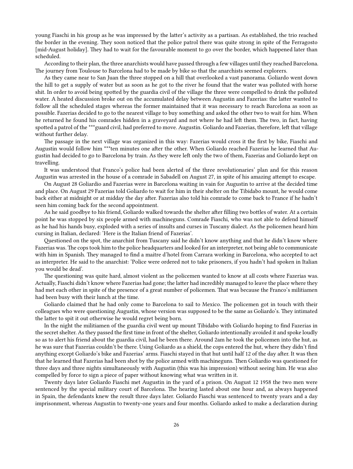young Fiaschi in his group as he was impressed by the latter's activity as a partisan. As established, the trio reached the border in the evening. They soon noticed that the police patrol there was quite strong in spite of the Ferragosto [mid-August holiday]. They had to wait for the favourable moment to go over the border, which happened later than scheduled.

According to their plan, the three anarchists would have passed through a few villages until they reached Barcelona. The journey from Toulouse to Barcelona had to be made by bike so that the anarchists seemed explorers.

As they came near to San Juan the three stopped on a hill that overlooked a vast panorama. Goliardo went down the hill to get a supply of water but as soon as he got to the river he found that the water was polluted with horse shit. In order to avoid being spotted by the guardia civil of the village the three were compelled to drink the polluted water. A heated discussion broke out on the accumulated delay between Augustin and Fazerias: the latter wanted to follow all the scheduled stages whereas the former maintained that it was necessary to reach Barcelona as soon as possible. Fazerias decided to go to the nearest village to buy something and asked the other two to wait for him. When he returned he found his comrades hidden in a graveyard and not where he had left them. The two, in fact, having spotted a patrol of the \*\*\*guard civil, had preferred to move. Augustin. Goliardo and Fazerias, therefore, left that village without further delay.

The passage in the next village was organized in this way: Fazerias would cross it the first by bike, Fiaschi and Augustin would follow him \*\*\*ten minutes one after the other. When Goliardo reached Fazerias he learned that Augustin had decided to go to Barcelona by train. As they were left only the two of them, Fazerias and Goliardo kept on travelling.

It was understood that Franco's police had been alerted of the three revolutionaries' plan and for this reason Augustin was arrested in the house of a comrade in Sabadell on August 27, in spite of his amazing attempt to escape.

On August 28 Goliardio and Fazerias were in Barcelona waiting in vain for Augustin to arrive at the decided time and place. On August 29 Fazerias told Goliardo to wait for him in their shelter on the Tibidabo mount, he would come back either at midnight or at midday the day after. Fazerias also told his comrade to come back to France if he hadn't seen him coming back for the second appointment.

As he said goodbye to his friend, Goliardo walked towards the shelter after filling two bottles of water. At a certain point he was stopped by six people armed with machineguns. Comrade Fiaschi, who was not able to defend himself as he had his hands busy, exploded with a series of insults and curses in Tuscany dialect. As the policemen heard him cursing in Italian, declared: 'Here is the Italian friend of Fazerias'.

Questioned on the spot, the anarchist from Tuscany said he didn't know anything and that he didn't know where Fazerias was. The cops took him to the police headquarters and looked for an interpreter, not being able to communicate with him in Spanish. They managed to find a maitre d'hotel from Carrara working in Barcelona, who accepted to act as interpreter. He said to the anarchist: 'Police were ordered not to take prisoners, if you hadn't had spoken in Italian you would be dead'.

The questioning was quite hard, almost violent as the policemen wanted to know at all costs where Fazerias was. Actually, Fiaschi didn't know where Fazerias had gone; the latter had incredibly managed to leave the place where they had met each other in spite of the presence of a great number of policemen. That was because the Franco's militiamen had been busy with their lunch at the time.

Goliardo claimed that he had only come to Barcelona to sail to Mexico. The policemen got in touch with their colleagues who were questioning Augustin, whose version was supposed to be the same as Goliardo's. They intimated the latter to spit it out otherwise he would regret being born.

In the night the militiamen of the guardia civil went up mount Tibidabo with Goliardo hoping to find Fazerias in the secret shelter. As they passed the first time in front of the shelter, Goliardo intentionally avoided it and spoke loudly so as to alert his friend about the guardia civil, had he been there. Around 2am he took the policemen into the hut, as he was sure that Fazerias couldn't be there. Using Goliardo as a shield, the cops entered the hut, where they didn't find anything except Goliardo's bike and Fazerias' arms. Fiaschi stayed in that hut until half 12 of the day after. It was then that he learned that Fazerias had been shot by the police armed with machineguns. Then Goliardio was questioned for three days and three nights simultaneously with Augustin (this was his impression) without seeing him. He was also compelled by force to sign a piece of paper without knowing what was written in it.

Twenty days later Goliardo Fiaschi met Augustin in the yard of a prison. On August 12 1958 the two men were sentenced by the special military court of Barcelona. The hearing lasted about one hour and, as always happened in Spain, the defendants knew the result three days later. Goliardo Fiaschi was sentenced to twenty years and a day imprisonment, whereas Augustin to twenty-one years and four months. Goliardo asked to make a declaration during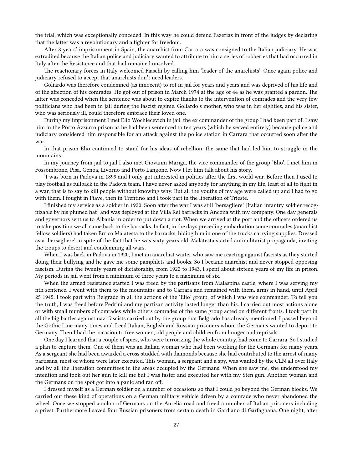the trial, which was exceptionally conceded. In this way he could defend Fazerias in front of the judges by declaring that the latter was a revolutionary and a fighter for freedom.

After 8 years' imprisonment in Spain, the anarchist from Carrara was consigned to the Italian judiciary. He was extradited because the Italian police and judiciary wanted to attribute to him a series of robberies that had occurred in Italy after the Resistance and that had remained unsolved.

The reactionary forces in Italy welcomed Fiaschi by calling him 'leader of the anarchists'. Once again police and judiciary refused to accept that anarchists don't need leaders.

Goliardo was therefore condemned (as innocent) to rot in jail for years and years and was deprived of his life and of the affection of his comrades. He got out of prison in March 1974 at the age of 44 as he was granted a pardon. The latter was conceded when the sentence was about to expire thanks to the intervention of comrades and the very few politicians who had been in jail during the fascist regime. Goliardo's mother, who was in her eighties, and his sister, who was seriously ill, could therefore embrace their loved one.

During my imprisonment I met Elio Wochiecevich in jail, the ex commander of the group I had been part of. I saw him in the Porto Azzurro prison as he had been sentenced to ten years (which he served entirely) because police and judiciary considered him responsible for an attack against the police station in Carrara that occurred soon after the war.

In that prison Elio continued to stand for his ideas of rebellion, the same that had led him to struggle in the mountains.

In my journey from jail to jail I also met Giovanni Mariga, the vice commander of the group 'Elio'. I met him in Fossombrone, Pisa, Genoa, Livorno and Porto Langone. Now I let him talk about his story.

'I was born in Padova in 1899 and I only got interested in politics after the first world war. Before then I used to play football as fullback in the Padova team. I have never asked anybody for anything in my life, least of all to fight in a war, that is to say to kill people without knowing why. But all the youths of my age were called up and I had to go with them. I fought in Piave, then in Trentino and I took part in the liberation of Trieste.

I finished my service as a soldier in 1920. Soon after the war I was still 'bersagliere' [Italian infantry soldier recognizable by his plumed hat] and was deployed at the Villa Rei barracks in Ancona with my company. One day generals and governors sent us to Albania in order to put down a riot. When we arrived at the port and the officers ordered us to take position we all came back to the barracks. In fact, in the days preceding embarkation some comrades (anarchist fellow soldiers) had taken Errico Malatesta to the barracks, hiding him in one of the trucks carrying supplies. Dressed as a 'bersagliere' in spite of the fact that he was sixty years old, Malatesta started antimilitarist propaganda, inviting the troups to desert and condemning all wars.

When I was back in Padova in 1920, I met an anarchist waiter who saw me reacting against fascists as they started doing their bullying and he gave me some pamphlets and books. So I became anarchist and never stopped opposing fascism. During the twenty years of dictatorship, from 1922 to 1943, I spent about sixteen years of my life in prison. My periods in jail went from a minimum of three years to a maximum of six.

When the armed resistance started I was freed by the partisans from Malaspina castle, where I was serving my nth sentence. I went with them to the mountains and to Carrara and remained with them, arms in hand, until April 25 1945. I took part with Belgrado in all the actions of the 'Elio' group, of which I was vice commander. To tell you the truth, I was freed before Pedrini and my partisan activity lasted longer than his. I carried out most actions alone or with small numbers of comrades while others comrades of the same group acted on different fronts. I took part in all the big battles against nazi fascists carried out by the group that Belgrado has already mentioned. I passed beyond the Gothic Line many times and freed Italian, English and Russian prisoners whom the Germans wanted to deport to Germany. Then I had the occasion to free women, old people and children from hunger and reprisals.

One day I learned that a couple of spies, who were terrorizing the whole country, had come to Carrara. So I studied a plan to capture them. One of them was an Italian woman who had been working for the Germans for many years. As a sergeant she had been awarded a cross studded with diamonds because she had contributed to the arrest of many partisans, most of whom were later executed. This woman, a sergeant and a spy, was wanted by the CLN all over Italy and by all the liberation committees in the areas occupied by the Germans. When she saw me, she understood my intention and took out her gun to kill me but I was faster and executed her with my Sten gun. Another woman and the Germans on the spot got into a panic and ran off.

I dressed myself as a German soldier on a number of occasions so that I could go beyond the German blocks. We carried out these kind of operations on a German military vehicle driven by a comrade who never abandoned the wheel. Once we stopped a colon of Germans on the Aurelia road and freed a number of Italian prisoners including a priest. Furthermore I saved four Russian prisoners from certain death in Gardiano di Garfagnana. One night, after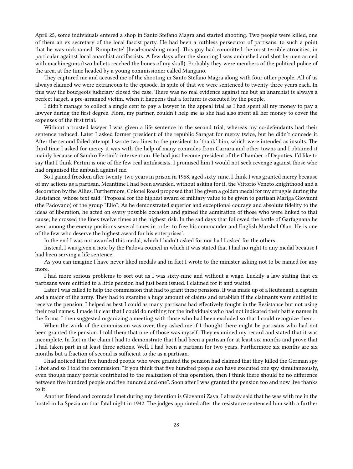April 25, some individuals entered a shop in Santo Stefano Magra and started shooting. Two people were killed, one of them an ex secretary of the local fascist party. He had been a ruthless persecutor of partisans, to such a point that he was nicknamed 'Rompiteste' [head-smashing man]. This guy had committed the most terrible atrocities, in particular against local anarchist antifascists. A few days after the shooting I was ambushed and shot by men armed with machineguns (two bullets reached the bones of my skull). Probably they were members of the political police of the area, at the time headed by a young commissioner called Mangano.

They captured me and accused me of the shooting in Santo Stefano Magra along with four other people. All of us always claimed we were extraneous to the episode. In spite of that we were sentenced to twenty-three years each. In this way the bourgeois judiciary closed the case. There was no real evidence against me but an anarchist is always a perfect target, a pre-arranged victim, when it happens that a torturer is executed by the people.

I didn't manage to collect a single cent to pay a lawyer in the appeal trial as I had spent all my money to pay a lawyer during the first degree. Flora, my partner, couldn't help me as she had also spent all her money to cover the expenses of the first trial.

Without a trusted lawyer I was given a life sentence in the second trial, whereas my co-defendants had their sentence reduced. Later I asked former president of the republic Saragat for mercy twice, but he didn't concede it. After the second failed attempt I wrote two lines to the president to 'thank' him, which were intended as insults. The third time I asked for mercy it was with the help of many comrades from Carrara and other towns and I obtained it mainly because of Sandro Pertini's intervention. He had just become president of the Chamber of Deputies. I'd like to say that I think Pertini is one of the few real antifascists. I promised him I would not seek revenge against those who had organised the ambush against me.

So I gained freedom after twenty-two years in prison in 1968, aged sixty-nine. I think I was granted mercy because of my actions as a partisan. Meantime I had been awarded, without asking for it, the Vittorio Veneto knighthood and a decoration by the Allies. Furthermore, Colonel Rossi proposed that I be given a golden medal for my struggle during the Resistance, whose text said: 'Proposal for the highest award of military value to be given to partisan Mariga Giovanni (the Padovano) of the group "Elio": As he demonstrated superior and exceptional courage and absolute fidelity to the ideas of liberation, he acted on every possible occasion and gained the admiration of those who were linked to that cause; he crossed the lines twelve times at the highest risk. In the sad days that followed the battle of Garfagnana he went among the enemy positions several times in order to free his commander and English Marshal Olan. He is one of the few who deserve the highest award for his enterprises'.

In the end I was not awarded this medal, which I hadn't asked for nor had I asked for the others.

Instead, I was given a note by the Padova council in which it was stated that I had no right to any medal because I had been serving a life sentence.

As you can imagine I have never liked medals and in fact I wrote to the minister asking not to be named for any more.

I had more serious problems to sort out as I was sixty-nine and without a wage. Luckily a law stating that ex partisans were entitled to a little pension had just been issued. I claimed for it and waited.

Later I was called to help the commission that had to grant these pensions. It was made up of a lieutenant, a captain and a major of the army. They had to examine a huge amount of claims and establish if the claimants were entitled to receive the pension. I helped as best I could as many partisans had effectively fought in the Resistance but not using their real names. I made it clear that I could do nothing for the individuals who had not indicated their battle names in the forms. I then suggested organizing a meeting with those who had been excluded so that I could recognize them.

When the work of the commission was over, they asked me if I thought there might be partisans who had not been granted the pension. I told them that one of those was myself. They examined my record and stated that it was incomplete. In fact in the claim I had to demonstrate that I had been a partisan for at least six months and prove that I had taken part in at least three actions. Well, I had been a partisan for two years. Furthermore six months are six months but a fraction of second is sufficient to die as a partisan.

I had noticed that five hundred people who were granted the pension had claimed that they killed the German spy I shot and so I told the commission: "If you think that five hundred people can have executed one spy simultaneously, even though many people contributed to the realization of this operation, then I think there should be no difference between five hundred people and five hundred and one". Soon after I was granted the pension too and now live thanks to it'.

Another friend and comrade I met during my detention is Giovanni Zava. I already said that he was with me in the hostel in La Spezia on that fatal night in 1942. The judges appointed after the resistance sentenced him with a further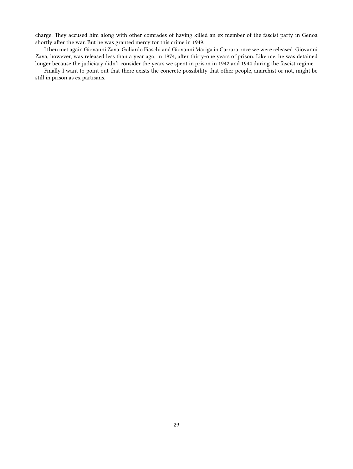charge. They accused him along with other comrades of having killed an ex member of the fascist party in Genoa shortly after the war. But he was granted mercy for this crime in 1949.

I then met again Giovanni Zava, Goliardo Fiaschi and Giovanni Mariga in Carrara once we were released. Giovanni Zava, however, was released less than a year ago, in 1974, after thirty-one years of prison. Like me, he was detained longer because the judiciary didn't consider the years we spent in prison in 1942 and 1944 during the fascist regime.

Finally I want to point out that there exists the concrete possibility that other people, anarchist or not, might be still in prison as ex partisans.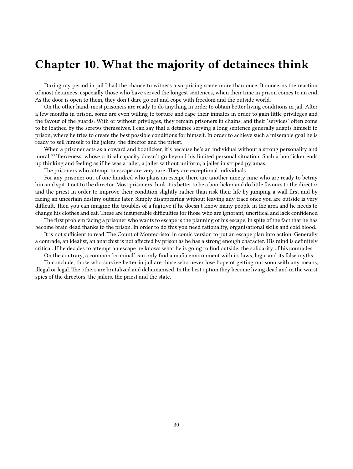## <span id="page-29-0"></span>**Chapter 10. What the majority of detainees think**

During my period in jail I had the chance to witness a surprising scene more than once. It concerns the reaction of most detainees, especially those who have served the longest sentences, when their time in prison comes to an end. As the door is open to them, they don't dare go out and cope with freedom and the outside world.

On the other hand, most prisoners are ready to do anything in order to obtain better living conditions in jail. After a few months in prison, some are even willing to torture and rape their inmates in order to gain little privileges and the favour of the guards. With or without privileges, they remain prisoners in chains, and their 'services' often come to be loathed by the screws themselves. I can say that a detainee serving a long sentence generally adapts himself to prison, where he tries to create the best possible conditions for himself. In order to achieve such a miserable goal he is ready to sell himself to the jailers, the director and the priest.

When a prisoner acts as a coward and bootlicker, it's because he's an individual without a strong personality and moral \*\*\*fierceness, whose critical capacity doesn't go beyond his limited personal situation. Such a bootlicker ends up thinking and feeling as if he was a jailer, a jailer without uniform, a jailer in striped pyjamas.

The prisoners who attempt to escape are very rare. They are exceptional individuals.

For any prisoner out of one hundred who plans an escape there are another ninety-nine who are ready to betray him and spit it out to the director. Most prisoners think it is better to be a bootlicker and do little favours to the director and the priest in order to improve their condition slightly rather than risk their life by jumping a wall first and by facing an uncertain destiny outside later. Simply disappearing without leaving any trace once you are outside is very difficult. Then you can imagine the troubles of a fugitive if he doesn't know many people in the area and he needs to change his clothes and eat. These are insuperable difficulties for those who are ignorant, uncritical and lack confidence.

The first problem facing a prisoner who wants to escape is the planning of his escape, in spite of the fact that he has become brain dead thanks to the prison. In order to do this you need rationality, organisational skills and cold blood.

It is not sufficient to read 'The Count of Montecristo' in comic version to put an escape plan into action. Generally a comrade, an idealist, an anarchist is not affected by prison as he has a strong enough character. His mind is definitely critical. If he decides to attempt an escape he knows what he is going to find outside: the solidarity of his comrades.

On the contrary, a common 'criminal' can only find a mafia environment with its laws, logic and its false myths.

To conclude, those who survive better in jail are those who never lose hope of getting out soon with any means, illegal or legal. The others are brutalized and dehumanised. In the best option they become living dead and in the worst spies of the directors, the jailers, the priest and the state.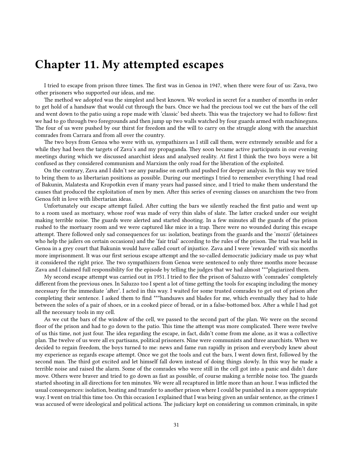## <span id="page-30-0"></span>**Chapter 11. My attempted escapes**

I tried to escape from prison three times. The first was in Genoa in 1947, when there were four of us: Zava, two other prisoners who supported our ideas, and me.

The method we adopted was the simplest and best known. We worked in secret for a number of months in order to get hold of a handsaw that would cut through the bars. Once we had the precious tool we cut the bars of the cell and went down to the patio using a rope made with 'classic' bed sheets. This was the trajectory we had to follow: first we had to go through two foregrounds and then jump up two walls watched by four guards armed with machineguns. The four of us were pushed by our thirst for freedom and the will to carry on the struggle along with the anarchist comrades from Carrara and from all over the country.

The two boys from Genoa who were with us, sympathizers as I still call them, were extremely sensible and for a while they had been the targets of Zava's and my propaganda. They soon became active participants in our evening meetings during which we discussed anarchist ideas and analysed reality. At first I think the two boys were a bit confused as they considered communism and Marxism the only road for the liberation of the exploited.

On the contrary, Zava and I didn't see any paradise on earth and pushed for deeper analysis. In this way we tried to bring them to as libertarian positions as possible. During our meetings I tried to remember everything I had read of Bakunin, Malatesta and Kropotkin even if many years had passed since, and I tried to make them understand the causes that produced the exploitation of men by men. After this series of evening classes on anarchism the two from Genoa felt in love with libertarian ideas.

Unfortunately our escape attempt failed. After cutting the bars we silently reached the first patio and went up to a room used as mortuary, whose roof was made of very thin slabs of slate. The latter cracked under our weight making terrible noise. The guards were alerted and started shooting. In a few minutes all the guards of the prison rushed to the mortuary room and we were captured like mice in a trap. There were no wounded during this escape attempt. There followed only sad consequences for us: isolation, beatings from the guards and the 'mozzi' (detainees who help the jailers on certain occasions) and the 'fair trial' according to the rules of the prison. The trial was held in Genoa in a grey court that Bakunin would have called court of injustice. Zava and I were 'rewarded' with six months more imprisonment. It was our first serious escape attempt and the so-called democratic judiciary made us pay what it considered the right price. The two sympathizers from Genoa were sentenced to only three months more because Zava and I claimed full responsibility for the episode by telling the judges that we had almost \*\*\*plagiarized them.

My second escape attempt was carried out in 1951. I tried to flee the prison of Saluzzo with 'comrades' completely different from the previous ones. In Saluzzo too I spent a lot of time getting the tools for escaping including the money necessary for the immediate 'after'. I acted in this way. I waited for some trusted comrades to get out of prison after completing their sentence. I asked them to find \*\*\*handsaws and blades for me, which eventually they had to hide between the soles of a pair of shoes, or in a cooked piece of bread, or in a false-bottomed box. After a while I had got all the necessary tools in my cell.

As we cut the bars of the window of the cell, we passed to the second part of the plan. We were on the second floor of the prison and had to go down to the patio. This time the attempt was more complicated. There were twelve of us this time, not just four. The idea regarding the escape, in fact, didn't come from me alone, as it was a collective plan. The twelve of us were all ex partisans, political prisoners. Nine were communists and three anarchists. When we decided to regain freedom, the boys turned to me: news and fame run rapidly in prison and everybody knew about my experience as regards escape attempt. Once we got the tools and cut the bars, I went down first, followed by the second man. The third got excited and let himself fall down instead of doing things slowly. In this way he made a terrible noise and raised the alarm. Some of the comrades who were still in the cell got into a panic and didn't dare move. Others were braver and tried to go down as fast as possible, of course making a terrible noise too. The guards started shooting in all directions for ten minutes. We were all recaptured in little more than an hour. I was inflicted the usual consequences: isolation, beating and transfer to another prison where I could be punished in a more appropriate way. I went on trial this time too. On this occasion I explained that I was being given an unfair sentence, as the crimes I was accused of were ideological and political actions. The judiciary kept on considering us common criminals, in spite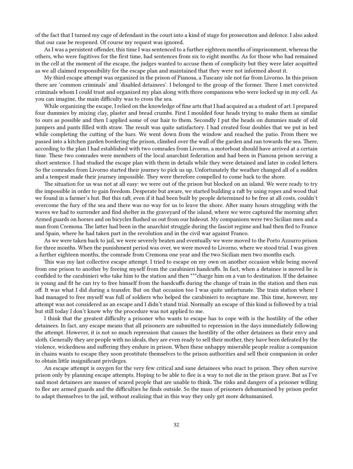of the fact that I turned my cage of defendant in the court into a kind of stage for prosecution and defence. I also asked that our case be reopened. Of course my request was ignored.

As I was a persistent offender, this time I was sentenced to a further eighteen months of imprisonment, whereas the others, who were fugitives for the first time, had sentences from six to eight months. As for those who had remained in the cell at the moment of the escape, the judges wanted to accuse them of complicity but they were later acquitted as we all claimed responsibility for the escape plan and maintained that they were not informed about it.

My third escape attempt was organized in the prison of Pianosa, a Tuscany isle not far from Livorno. In this prison there are 'common criminals' and 'disabled detainees'. I belonged to the group of the former. There I met convicted criminals whom I could trust and organized my plan along with three companions who were locked up in my cell. As you can imagine, the main difficulty was to cross the sea.

While organizing the escape, I relied on the knowledge of fine arts that I had acquired as a student of art. I prepared four dummies by mixing clay, plaster and bread crumbs. First I moulded four heads trying to make them as similar to ours as possible and then I applied some of our hair to them. Secondly I put the heads on dummies made of old jumpers and pants filled with straw. The result was quite satisfactory. I had created four doubles that we put in bed while completing the cutting of the bars. We went down from the window and reached the patio. From there we passed into a kitchen garden bordering the prison, climbed over the wall of the garden and ran towards the sea. There, according to the plan I had established with two comrades from Livorno, a motorboat should have arrived at a certain time. These two comrades were members of the local anarchist federation and had been in Pianosa prison serving a short sentence. I had studied the escape plan with them in details while they were detained and later in coded letters. So the comrades from Livorno started their journey to pick us up. Unfortunately the weather changed all of a sudden and a tempest made their journey impossible. They were therefore compelled to come back to the shore.

The situation for us was not at all easy: we were out of the prison but blocked on an island. We were ready to try the impossible in order to gain freedom. Desperate but aware, we started building a raft by using ropes and wood that we found in a farmer's hut. But this raft, even if it had been built by people determined to be free at all costs, couldn't overcome the fury of the sea and there was no way for us to leave the shore. After many hours struggling with the waves we had to surrender and find shelter in the graveyard of the island, where we were captured the morning after. Armed guards on horses and on bicycles flushed us out from our hideout. My companions were two Sicilian men and a man from Cremona. The latter had been in the anarchist struggle during the fascist regime and had then fled to France and Spain, where he had taken part in the revolution and in the civil war against Franco.

As we were taken back to jail, we were severely beaten and eventually we were moved to the Porto Azzurro prison for three months. When the punishment period was over, we were moved to Livorno, where we stood trial. I was given a further eighteen months, the comrade from Cremona one year and the two Sicilian men two months each.

This was my last collective escape attempt. I tried to escape on my own on another occasion while being moved from one prison to another by freeing myself from the carabinieri handcuffs. In fact, when a detainee is moved he is confided to the carabinieri who take him to the station and then \*\*\*charge him on a van to destination. If the detainee is young and fit he can try to free himself from the handcuffs during the change of train in the station and then run off. It was what I did during a transfer. But on that occasion too I was quite unfortunate. The train station where I had managed to free myself was full of soldiers who helped the carabinieri to recapture me. This time, however, my attempt was not considered as an escape and I didn't stand trial. Normally an escape of this kind is followed by a trial but still today I don't know why the procedure was not applied to me.

I think that the greatest difficulty a prisoner who wants to escape has to cope with is the hostility of the other detainees. In fact, any escape means that all prisoners are submitted to repression in the days immediately following the attempt. However, it is not so much repression that causes the hostility of the other detainees as their envy and sloth. Generally they are people with no ideals, they are even ready to sell their mother, they have been defeated by the violence, wickedness and suffering they endure in prison. When these unhappy miserable people realize a companion in chains wants to escape they soon prostitute themselves to the prison authorities and sell their companion in order to obtain little insignificant privileges.

An escape attempt is oxygen for the very few critical and sane detainees who react to prison. They often survive prison only by planning escape attempts. Hoping to be able to flee is a way to not die in the prison grave. But as I've said most detainees are masses of scared people that are unable to think. The risks and dangers of a prisoner willing to flee are armed guards and the difficulties he finds outside. So the mass of prisoners dehumanised by prison prefer to adapt themselves to the jail, without realizing that in this way they only get more dehumanised.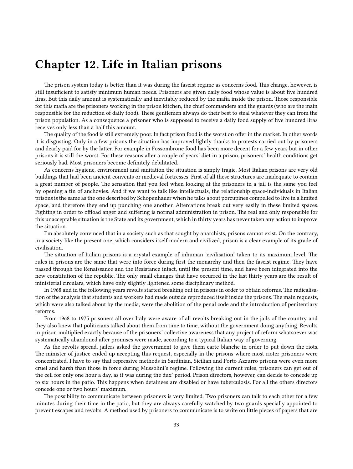# <span id="page-32-0"></span>**Chapter 12. Life in Italian prisons**

The prison system today is better than it was during the fascist regime as concerns food. This change, however, is still insufficient to satisfy minimum human needs. Prisoners are given daily food whose value is about five hundred liras. But this daily amount is systematically and inevitably reduced by the mafia inside the prison. Those responsible for this mafia are the prisoners working in the prison kitchen, the chief commanders and the guards (who are the main responsible for the reduction of daily food). These gentlemen always do their best to steal whatever they can from the prison population. As a consequence a prisoner who is supposed to receive a daily food supply of five hundred liras receives only less than a half this amount.

The quality of the food is still extremely poor. In fact prison food is the worst on offer in the market. In other words it is disgusting. Only in a few prisons the situation has improved lightly thanks to protests carried out by prisoners and dearly paid for by the latter. For example in Fossombrone food has been more decent for a few years but in other prisons it is still the worst. For these reasons after a couple of years' diet in a prison, prisoners' health conditions get seriously bad. Most prisoners become definitely debilitated.

As concerns hygiene, environment and sanitation the situation is simply tragic. Most Italian prisons are very old buildings that had been ancient convents or medieval fortresses. First of all these structures are inadequate to contain a great number of people. The sensation that you feel when looking at the prisoners in a jail is the same you feel by opening a tin of anchovies. And if we want to talk like intellectuals, the relationship space-individuals in Italian prisons is the same as the one described by Schopenhauer when he talks about porcupines compelled to live in a limited space, and therefore they end up punching one another. Altercations break out very easily in these limited spaces. Fighting in order to offload anger and suffering is normal administration in prison. The real and only responsible for this unacceptable situation is the State and its government, which in thirty years has never taken any action to improve the situation.

I'm absolutely convinced that in a society such as that sought by anarchists, prisons cannot exist. On the contrary, in a society like the present one, which considers itself modern and civilized, prison is a clear example of its grade of civilisation.

The situation of Italian prisons is a crystal example of inhuman 'civilisation' taken to its maximum level. The rules in prisons are the same that were into force during first the monarchy and then the fascist regime. They have passed through the Renaissance and the Resistance intact, until the present time, and have been integrated into the new constitution of the republic. The only small changes that have occurred in the last thirty years are the result of ministerial circulars, which have only slightly lightened some disciplinary method.

In 1968 and in the following years revolts started breaking out in prisons in order to obtain reforms. The radicalisation of the analysis that students and workers had made outside reproduced itself inside the prisons. The main requests, which were also talked about by the media, were the abolition of the penal code and the introduction of penitentiary reforms.

From 1968 to 1975 prisoners all over Italy were aware of all revolts breaking out in the jails of the country and they also knew that politicians talked about them from time to time, without the government doing anything. Revolts in prison multiplied exactly because of the prisoners' collective awareness that any project of reform whatsoever was systematically abandoned after promises were made, according to a typical Italian way of governing.

As the revolts spread, jailers asked the government to give them carte blanche in order to put down the riots. The minister of justice ended up accepting this request, especially in the prisons where most rioter prisoners were concentrated. I have to say that repressive methods in Sardinian, Sicilian and Porto Azzurro prisons were even more cruel and harsh than those in force during Mussolini's regime. Following the current rules, prisoners can get out of the cell for only one hour a day, as it was during the dux' period. Prison directors, however, can decide to concede up to six hours in the patio. This happens when detainees are disabled or have tuberculosis. For all the others directors concede one or two hours' maximum.

The possibility to communicate between prisoners is very limited. Two prisoners can talk to each other for a few minutes during their time in the patio, but they are always carefully watched by two guards specially appointed to prevent escapes and revolts. A method used by prisoners to communicate is to write on little pieces of papers that are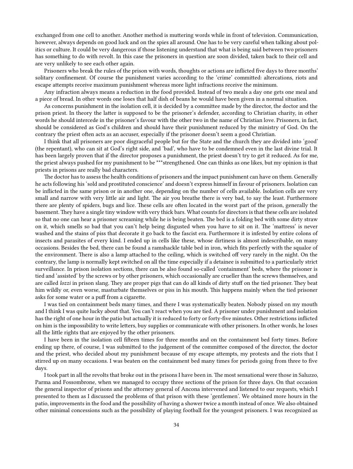exchanged from one cell to another. Another method is muttering words while in front of television. Communication, however, always depends on good luck and on the spies all around. One has to be very careful when talking about politics or culture. It could be very dangerous if those listening understand that what is being said between two prisoners has something to do with revolt. In this case the prisoners in question are soon divided, taken back to their cell and are very unlikely to see each other again.

Prisoners who break the rules of the prison with words, thoughts or actions are inflicted five days to three months' solitary confinement. Of course the punishment varies according to the 'crime' committed: altercations, riots and escape attempts receive maximum punishment whereas more light infractions receive the minimum.

Any infraction always means a reduction in the food provided. Instead of two meals a day one gets one meal and a piece of bread. In other words one loses that half dish of beans he would have been given in a normal situation.

As concerns punishment in the isolation cell, it is decided by a committee made by the director, the doctor and the prison priest. In theory the latter is supposed to be the prisoner's defender, according to Christian charity, in other words he should intercede in the prisoner's favour with the other two in the name of Christian love. Prisoners, in fact, should be considered as God's children and should have their punishment reduced by the ministry of God. On the contrary the priest often acts as an accuser, especially if the prisoner doesn't seem a good Christian.

I think that all prisoners are poor disgraceful people but for the State and the church they are divided into 'good' (the repentant), who can sit at God's right side, and 'bad', who have to be condemned even in the last divine trial. It has been largely proven that if the director proposes a punishment, the priest doesn't try to get it reduced. As for me, the priest always pushed for my punishment to be \*\*\*strengthened. One can thinks as one likes, but my opinion is that priests in prisons are really bad characters.

The doctor has to assess the health conditions of prisoners and the impact punishment can have on them. Generally he acts following his 'sold and prostituted conscience' and doesn't express himself in favour of prisoners. Isolation can be inflicted in the same prison or in another one, depending on the number of cells available. Isolation cells are very small and narrow with very little air and light. The air you breathe there is very bad, to say the least. Furthermore there are plenty of spiders, bugs and lice. These cells are often located in the worst part of the prison, generally the basement. They have a single tiny window with very thick bars. What counts for directors is that these cells are isolated so that no one can hear a prisoner screaming while he is being beaten. The bed is a folding bed with some dirty straw on it, which smells so bad that you can't help being disgusted when you have to sit on it. The 'mattress' is never washed and the stains of piss that decorate it go back to the fascist era. Furthermore it is infested by entire colons of insects and parasites of every kind. I ended up in cells like these, whose dirtiness is almost indescribable, on many occasions. Besides the bed, there can be found a ramshackle table bed in iron, which fits perfectly with the squalor of the environment. There is also a lamp attached to the ceiling, which is switched off very rarely in the night. On the contrary, the lamp is normally kept switched on all the time especially if a detainee is submitted to a particularly strict surveillance. In prison isolation sections, there can be also found so-called 'containment' beds, where the prisoner is tied and 'assisted' by the screws or by other prisoners, which occasionally are crueller than the screws themselves, and are called *lozzi* in prison slang. They are proper pigs that can do all kinds of dirty stuff on the tied prisoner. They beat him wildly or, even worse, masturbate themselves or piss in his mouth. This happens mainly when the tied prisoner asks for some water or a puff from a cigarette.

I was tied on containment beds many times, and there I was systematically beaten. Nobody pissed on my mouth and I think I was quite lucky about that. You can't react when you are tied. A prisoner under punishment and isolation has the right of one hour in the patio but actually it is reduced to forty or forty-five minutes. Other restrictions inflicted on him is the impossibility to write letters, buy supplies or communicate with other prisoners. In other words, he loses all the little rights that are enjoyed by the other prisoners.

I have been in the isolation cell fifteen times for three months and on the containment bed forty times. Before ending up there, of course, I was submitted to the judgement of the committee composed of the director, the doctor and the priest, who decided about my punishment because of my escape attempts, my protests and the riots that I stirred up on many occasions. I was beaten on the containment bed many times for periods going from three to five days.

I took part in all the revolts that broke out in the prisons I have been in. The most sensational were those in Saluzzo, Parma and Fossombrone, when we managed to occupy three sections of the prison for three days. On that occasion the general inspector of prisons and the attorney general of Ancona intervened and listened to our requests, which I presented to them as I discussed the problems of that prison with these 'gentlemen'. We obtained more hours in the patio, improvements in the food and the possibility of having a shower twice a month instead of once. We also obtained other minimal concessions such as the possibility of playing football for the youngest prisoners. I was recognized as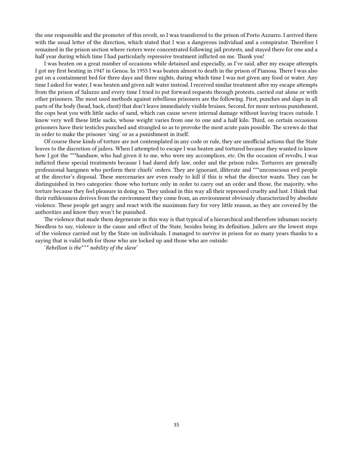the one responsible and the promoter of this revolt, so I was transferred to the prison of Porto Azzurro. I arrived there with the usual letter of the direction, which stated that I was a dangerous individual and a conspirator. Therefore I remained in the prison section where rioters were concentrated following jail protests, and stayed there for one and a half year during which time I had particularly repressive treatment inflicted on me. Thank you!

I was beaten on a great number of occasions while detained and especially, as I've said, after my escape attempts. I got my first beating in 1947 in Genoa. In 1955 I was beaten almost to death in the prison of Pianosa. There I was also put on a containment bed for three days and three nights, during which time I was not given any food or water. Any time I asked for water, I was beaten and given salt water instead. I received similar treatment after my escape attempts from the prison of Saluzzo and every time I tried to put forward requests through protests, carried out alone or with other prisoners. The most used methods against rebellious prisoners are the following. First, punches and slaps in all parts of the body (head, back, chest) that don't leave immediately visible bruises. Second, for more serious punishment, the cops beat you with little sacks of sand, which can cause severe internal damage without leaving traces outside. I know very well these little sacks, whose weight varies from one to one and a half kilo. Third, on certain occasions prisoners have their testicles punched and strangled so as to provoke the most acute pain possible. The screws do that in order to make the prisoner 'sing' or as a punishment in itself.

Of course these kinds of torture are not contemplated in any code or rule, they are unofficial actions that the State leaves to the discretion of jailers. When I attempted to escape I was beaten and tortured because they wanted to know how I got the \*\*\*handsaw, who had given it to me, who were my accomplices, etc. On the occasion of revolts, I was inflicted these special treatments because I had dared defy law, order and the prison rules. Torturers are generally professional hangmen who perform their chiefs' orders. They are ignorant, illiterate and \*\*\*unconscious evil people at the director's disposal. These mercenaries are even ready to kill if this is what the director wants. They can be distinguished in two categories: those who torture only in order to carry out an order and those, the majority, who torture because they feel pleasure in doing so. They unload in this way all their repressed cruelty and lust. I think that their ruthlessness derives from the environment they come from, an environment obviously characterized by absolute violence. These people get angry and react with the maximum fury for very little reason, as they are covered by the authorities and know they won't be punished.

The violence that made them degenerate in this way is that typical of a hierarchical and therefore inhuman society. Needless to say, violence is the cause and effect of the State, besides being its definition. Jailers are the lowest steps of the violence carried out by the State on individuals. I managed to survive in prison for so many years thanks to a saying that is valid both for those who are locked up and those who are outside:

'*Rebellion is the\*\*\* nobility of the slave'*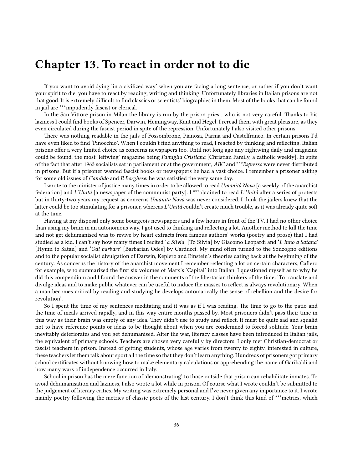## <span id="page-35-0"></span>**Chapter 13. To react in order not to die**

If you want to avoid dying 'in a civilized way' when you are facing a long sentence, or rather if you don't want your spirit to die, you have to react by reading, writing and thinking. Unfortunately libraries in Italian prisons are not that good. It is extremely difficult to find classics or scientists' biographies in them. Most of the books that can be found in jail are \*\*\*impudently fascist or clerical.

In the San Vittore prison in Milan the library is run by the prison priest, who is not very careful. Thanks to his laziness I could find books of Spencer, Darwin, Hemingway, Kant and Hegel. I reread them with great pleasure, as they even circulated during the fascist period in spite of the repression. Unfortunately I also visited other prisons.

There was nothing readable in the jails of Fossombrone, Pianosa, Parma and Castelfranco. In certain prisons I'd have even liked to find 'Pinocchio'. When I couldn't find anything to read, I reacted by thinking and reflecting. Italian prisons offer a very limited choice as concerns newspapers too. Until not long ago any rightwing daily and magazine could be found, the most 'leftwing' magazine being *Famiglia Cristiana* [Christian Family, a catholic weekly]. In spite of the fact that after 1963 socialists sat in parliament or at the government, *ABC* and \*\*\**Espresso* were never distributed in prisons. But if a prisoner wanted fascist books or newspapers he had a vast choice. I remember a prisoner asking for some old issues of *Candido* and *Il Borghese*: he was satisfied the very same day.

I wrote to the minister of justice many times in order to be allowed to read *Umanità Nova* [a weekly of the anarchist federation] and *L'Unità* [a newspaper of the communist party]. I \*\*\*obtained to read *L'Unità* after a series of protests but in thirty-two years my request as concerns *Umanita Nova* was never considered. I think the jailers knew that the latter could be too stimulating for a prisoner, whereas *L'Unità* couldn't create much trouble, as it was already quite soft at the time.

Having at my disposal only some bourgeois newspapers and a few hours in front of the TV, I had no other choice than using my brain in an autonomous way. I got used to thinking and reflecting a lot. Another method to kill the time and not get dehumanised was to revive by heart extracts from famous authors' works (poetry and prose) that I had studied as a kid. I can't say how many times I recited '*a Silvia*' [To Silvia] by Giacomo Leopardi and '*L'Inno a Satana*' [Hymn to Satan] and '*Odi barbare*' [Barbarian Odes] by Carducci. My mind often turned to the Sonzogno editions and to the popular socialist divulgation of Darwin, Keplero and Einstein's theories dating back at the beginning of the century. As concerns the history of the anarchist movement I remember reflecting a lot on certain characters, Cafiero for example, who summarized the first six volumes of Marx's 'Capital' into Italian. I questioned myself as to why he did this compendium and I found the answer in the comments of the libertarian thinkers of the time: 'To translate and divulge ideas and to make public whatever can be useful to induce the masses to reflect is always revolutionary. When a man becomes critical by reading and studying he develops automatically the sense of rebellion and the desire for revolution'.

So I spent the time of my sentences meditating and it was as if I was reading. The time to go to the patio and the time of meals arrived rapidly, and in this way entire months passed by. Most prisoners didn't pass their time in this way as their brain was empty of any idea. They didn't use to study and reflect. It must be quite sad and squalid not to have reference points or ideas to be thought about when you are condemned to forced solitude. Your brain inevitably deteriorates and you get dehumanised. After the war, literacy classes have been introduced in Italian jails, the equivalent of primary schools. Teachers are chosen very carefully by directors: I only met Christian-democrat or fascist teachers in prison. Instead of getting students, whose age varies from twenty to eighty, interested in culture, these teachers let them talk about sport all the time so that they don't learn anything. Hundreds of prisoners got primary school certificates without knowing how to make elementary calculations or apprehending the name of Garibaldi and how many wars of independence occurred in Italy.

School in prison has the mere function of 'demonstrating' to those outside that prison can rehabilitate inmates. To avoid dehumanisation and laziness, I also wrote a lot while in prison. Of course what I wrote couldn't be submitted to the judgement of literary critics. My writing was extremely personal and I've never given any importance to it. I wrote mainly poetry following the metrics of classic poets of the last century. I don't think this kind of \*\*\*metrics, which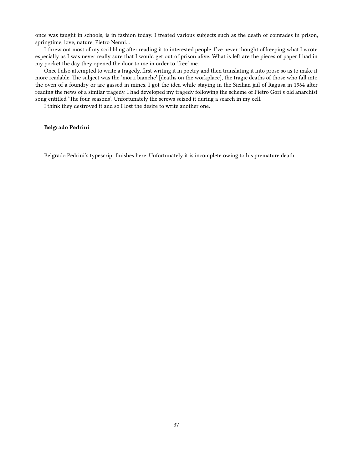once was taught in schools, is in fashion today. I treated various subjects such as the death of comrades in prison, springtime, love, nature, Pietro Nenni…

I threw out most of my scribbling after reading it to interested people. I've never thought of keeping what I wrote especially as I was never really sure that I would get out of prison alive. What is left are the pieces of paper I had in my pocket the day they opened the door to me in order to 'free' me.

Once I also attempted to write a tragedy, first writing it in poetry and then translating it into prose so as to make it more readable. The subject was the 'morti bianche' [deaths on the workplace], the tragic deaths of those who fall into the oven of a foundry or are gassed in mines. I got the idea while staying in the Sicilian jail of Ragusa in 1964 after reading the news of a similar tragedy. I had developed my tragedy following the scheme of Pietro Gori's old anarchist song entitled 'The four seasons'. Unfortunately the screws seized it during a search in my cell.

I think they destroyed it and so I lost the desire to write another one.

#### **Belgrado Pedrini**

Belgrado Pedrini's typescript finishes here. Unfortunately it is incomplete owing to his premature death.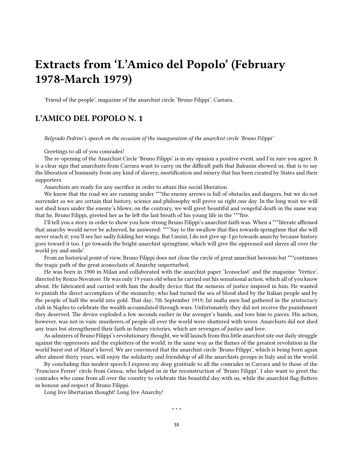# <span id="page-37-0"></span>**Extracts from 'L'Amico del Popolo' (February 1978-March 1979)**

'Friend of the people', magazine of the anarchist circle 'Bruno Filippi', Carrara.

### <span id="page-37-1"></span>**L'AMICO DEL POPOLO N. 1**

*Belgrado Pedrini's speech on the occasion of the inauguration of the anarchist circle 'Bruno Filippi'*

Greetings to all of you comrades!

The re-opening of the Anarchist Circle 'Bruno Filippi' is in my opinion a positive event, and I'm sure you agree. It is a clear sign that anarchists from Carrara want to carry on the difficult path that Bakunin showed us, that is to say the liberation of humanity from any kind of slavery, mortification and misery that has been created by States and their supporters.

Anarchists are ready for any sacrifice in order to attain this social liberation.

We know that the road we are running under \*\*\*the enemy arrows is full of obstacles and dangers, but we do not surrender as we are certain that history, science and philosophy will prove us right one day. In the long wait we will not shed tears under the enemy's blows; on the contrary, we will greet beautiful and vengeful death in the same way that he, Bruno Filippi, greeted her as he left the last breath of his young life in the \*\*\*fire.

I'll tell you a story in order to show you how strong Bruno Filippi's anarchist faith was. When a \*\*\*literate affirmed that anarchy would never be achieved, he answered: \*\*\*'Say to the swallow that flies towards springtime that she will never reach it; you'll see her sadly folding her wings. But I insist, I do not give up: I go towards anarchy because history goes toward it too. I go towards the bright anarchist springtime, which will give the oppressed and slaves all over the world joy and smile'.

From an historical point of view, Bruno Filippi does not close the circle of great anarchist heroism but \*\*\*continues the tragic path of the great iconoclasts of Anarchy unperturbed.

He was born in 1900 in Milan and collaborated with the anarchist paper 'Iconoclast' and the magazine 'Vertice', directed by Renzo Novatore. He was only 19 years old when he carried out his sensational action, which all of you know about. He fabricated and carried with him the deadly device that the nemesis of justice inspired in him. He wanted to punish the direct accomplices of the monarchy, who had turned the sea of blood shed by the Italian people and by the people of half the world into gold. That day, 7th September 1919, fat mafia men had gathered in the aristocracy club in Naples to celebrate the wealth accumulated through wars. Unfortunately they did not receive the punishment they deserved. The device exploded a few seconds earlier in the avenger's hands, and tore him to pieces. His action, however, was not in vain: murderers of people all over the world were shattered with terror. Anarchists did not shed any tears but strengthened their faith in future victories, which are revenges of justice and love.

As admirers of Bruno Filippi's revolutionary thought, we will launch from this little anarchist site our daily struggle against the oppressors and the exploiters of the world, in the same way as the flames of the greatest revolution in the world burst out of Marat's hovel. We are convinced that the anarchist circle 'Bruno Filippi', which is being born again after almost thirty years, will enjoy the solidarity and friendship of all the anarchists groups in Italy and in the world.

By concluding this modest speech I express my deep gratitude to all the comrades in Carrara and to those of the 'Francisco Ferrer' circle from Genoa, who helped us in the reconstruction of 'Bruno Filippi'. I also want to greet the comrades who came from all over the country to celebrate this beautiful day with us, while the anarchist flag flutters in honour and respect of Bruno Filippi.

Long live libertarian thought! Long live Anarchy!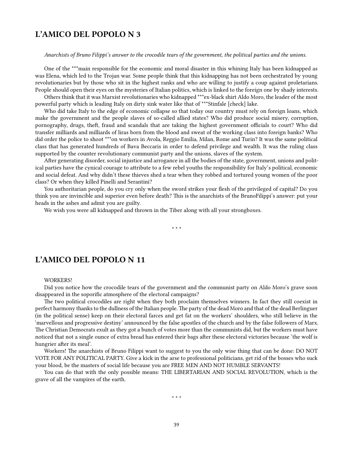### <span id="page-38-0"></span>**L'AMICO DEL POPOLO N 3**

*Anarchists of Bruno Filippi's answer to the crocodile tears of the government, the political parties and the unions.*

One of the \*\*\*main responsible for the economic and moral disaster in this whining Italy has been kidnapped as was Elena, which led to the Trojan war. Some people think that this kidnapping has not been orchestrated by young revolutionaries but by those who sit in the highest ranks and who are willing to justify a coup against proletarians. People should open their eyes on the mysteries of Italian politics, which is linked to the foreign one by shady interests.

Others think that it was Marxist revolutionaries who kidnapped \*\*\*ex-black shirt Aldo Moro, the leader of the most powerful party which is leading Italy on dirty sink water like that of \*\*\*Stinfale [check] lake.

Who did take Italy to the edge of economic collapse so that today our country must rely on foreign loans, which make the government and the people slaves of so-called allied states? Who did produce social misery, corruption, pornography, drugs, theft, fraud and scandals that are taking the highest government officials to court? Who did transfer milliards and milliards of liras born from the blood and sweat of the working class into foreign banks? Who did order the police to shoot \*\*\*on workers in Avola, Reggio Emilia, Milan, Rome and Turin? It was the same political class that has generated hundreds of Bava Beccaris in order to defend privilege and wealth. It was the ruling class supported by the counter revolutionary communist party and the unions, slaves of the system.

After generating disorder, social injustice and arrogance in all the bodies of the state, government, unions and political parties have the cynical courage to attribute to a few rebel youths the responsibility for Italy's political, economic and social defeat. And why didn't these thieves shed a tear when they robbed and tortured young women of the poor class? Or when they killed Pinelli and Serantini?

You authoritarian people, do you cry only when the sword strikes your flesh of the privileged of capital? Do you think you are invincible and superior even before death? This is the anarchists of the BrunoFilippi's answer: put your heads in the ashes and admit you are guilty.

\* \* \*

We wish you were all kidnapped and thrown in the Tiber along with all your strongboxes.

<span id="page-38-1"></span>**L'AMICO DEL POPOLO N 11**

#### WORKERS!

Did you notice how the crocodile tears of the government and the communist party on Aldo Moro's grave soon disappeared in the soporific atmosphere of the electoral campaigns?

The two political crocodiles are right when they both proclaim themselves winners. In fact they still coexist in perfect harmony thanks to the dullness of the Italian people. The party of the dead Moro and that of the dead Berlinguer (in the political sense) keep on their electoral farces and get fat on the workers' shoulders, who still believe in the 'marvellous and progressive destiny' announced by the false apostles of the church and by the false followers of Marx. The Christian Democrats exult as they got a bunch of votes more than the communists did, but the workers must have noticed that not a single ounce of extra bread has entered their bags after these electoral victories because 'the wolf is hungrier after its meal'.

Workers! The anarchists of Bruno Filippi want to suggest to you the only wise thing that can be done: DO NOT VOTE FOR ANY POLITICAL PARTY. Give a kick in the arse to professional politicians, get rid of the bosses who suck your blood, be the masters of social life because you are FREE MEN AND NOT HUMBLE SERVANTS!

You can do that with the only possible means: THE LIBERTARIAN AND SOCIAL REVOLUTION, which is the grave of all the vampires of the earth.

\* \* \*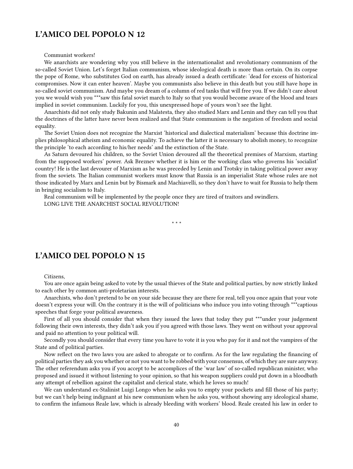### <span id="page-39-0"></span>**L'AMICO DEL POPOLO N 12**

Communist workers!

We anarchists are wondering why you still believe in the internationalist and revolutionary communism of the so-called Soviet Union. Let's forget Italian communism, whose ideological death is more than certain. On its corpse the pope of Rome, who substitutes God on earth, has already issued a death certificate: 'dead for excess of historical compromises. Now it can enter heaven'. Maybe you communists also believe in this death but you still have hope in so-called soviet communism. And maybe you dream of a column of red tanks that will free you. If we didn't care about you we would wish you \*\*\*saw this fatal soviet march to Italy so that you would become aware of the blood and tears implied in soviet communism. Luckily for you, this unexpressed hope of yours won't see the light.

Anarchists did not only study Bakunin and Malatesta, they also studied Marx and Lenin and they can tell you that the doctrines of the latter have never been realized and that State communism is the negation of freedom and social equality.

The Soviet Union does not recognize the Marxist 'historical and dialectical materialism' because this doctrine implies philosophical atheism and economic equality. To achieve the latter it is necessary to abolish money, to recognize the principle 'to each according to his/her needs' and the extinction of the State.

As Saturn devoured his children, so the Soviet Union devoured all the theoretical premises of Marxism, starting from the supposed workers' power. Ask Breznev whether it is him or the working class who governs his 'socialist' country! He is the last devourer of Marxism as he was preceded by Lenin and Trotsky in taking political power away from the soviets. The Italian communist workers must know that Russia is an imperialist State whose rules are not those indicated by Marx and Lenin but by Bismark and Machiavelli, so they don't have to wait for Russia to help them in bringing socialism to Italy.

Real communism will be implemented by the people once they are tired of traitors and swindlers.

LONG LIVE THE ANARCHIST SOCIAL REVOLUTION!

\* \* \*

### <span id="page-39-1"></span>**L'AMICO DEL POPOLO N 15**

Citizens,

You are once again being asked to vote by the usual thieves of the State and political parties, by now strictly linked to each other by common anti-proletarian interests.

Anarchists, who don't pretend to be on your side because they are there for real, tell you once again that your vote doesn't express your will. On the contrary it is the will of politicians who induce you into voting through \*\*\*captious speeches that forge your political awareness.

First of all you should consider that when they issued the laws that today they put \*\*\*under your judgement following their own interests, they didn't ask you if you agreed with those laws. They went on without your approval and paid no attention to your political will.

Secondly you should consider that every time you have to vote it is you who pay for it and not the vampires of the State and of political parties.

Now reflect on the two laws you are asked to abrogate or to confirm. As for the law regulating the financing of political parties they ask you whether or not you want to be robbed with your consensus, of which they are sure anyway. The other referendum asks you if you accept to be accomplices of the 'war law' of so-called republican minister, who proposed and issued it without listening to your opinion, so that his weapon suppliers could put down in a bloodbath any attempt of rebellion against the capitalist and clerical state, which he loves so much!

We can understand ex-Stalinist Luigi Longo when he asks you to empty your pockets and fill those of his party; but we can't help being indignant at his new communism when he asks you, without showing any ideological shame, to confirm the infamous Reale law, which is already bleeding with workers' blood. Reale created his law in order to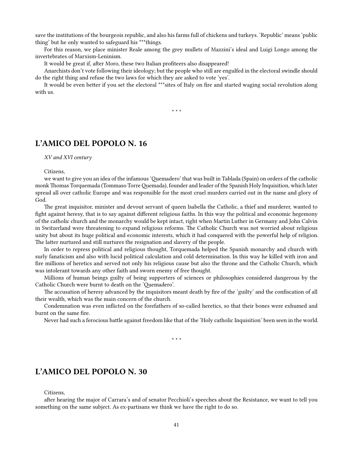save the institutions of the bourgeois republic, and also his farms full of chickens and turkeys. 'Republic' means 'public thing' but he only wanted to safeguard his \*\*\*things.

For this reason, we place minister Reale among the grey mullets of Mazzini's ideal and Luigi Longo among the invertebrates of Marxism-Leninism.

It would be great if, after Moro, these two Italian profiteers also disappeared!

Anarchists don't vote following their ideology; but the people who still are engulfed in the electoral swindle should do the right thing and refuse the two laws for which they are asked to vote 'yes'.

It would be even better if you set the electoral \*\*\*sites of Italy on fire and started waging social revolution along with us.

\* \* \*

### <span id="page-40-0"></span>**L'AMICO DEL POPOLO N. 16**

#### *XV and XVI century*

Citizens,

we want to give you an idea of the infamous 'Quemadero' that was built in Tablada (Spain) on orders of the catholic monk Thomas Torquemada (Tommaso TorreQuemada), founder and leader of the Spanish Holy Inquisition, which later spread all over catholic Europe and was responsible for the most cruel murders carried out in the name and glory of God.

The great inquisitor, minister and devout servant of queen Isabella the Catholic, a thief and murderer, wanted to fight against heresy, that is to say against different religious faiths. In this way the political and economic hegemony of the catholic church and the monarchy would be kept intact, right when Martin Luther in Germany and John Calvin in Switzerland were threatening to expand religious reforms. The Catholic Church was not worried about religious unity but about its huge political and economic interests, which it had conquered with the powerful help of religion. The latter nurtured and still nurtures the resignation and slavery of the people.

In order to repress political and religious thought, Torquemada helped the Spanish monarchy and church with surly fanaticism and also with lucid political calculation and cold determination. In this way he killed with iron and fire millions of heretics and served not only his religious cause but also the throne and the Catholic Church, which was intolerant towards any other faith and sworn enemy of free thought.

Millions of human beings guilty of being supporters of sciences or philosophies considered dangerous by the Catholic Church were burnt to death on the 'Quemadero'.

The accusation of heresy advanced by the inquisitors meant death by fire of the 'guilty' and the confiscation of all their wealth, which was the main concern of the church.

Condemnation was even inflicted on the forefathers of so-called heretics, so that their bones were exhumed and burnt on the same fire.

Never had such a ferocious battle against freedom like that of the 'Holy catholic Inquisition' been seen in the world.

\* \* \*

### <span id="page-40-1"></span>**L'AMICO DEL POPOLO N. 30**

Citizens,

after hearing the major of Carrara's and of senator Pecchioli's speeches about the Resistance, we want to tell you something on the same subject. As ex-partisans we think we have the right to do so.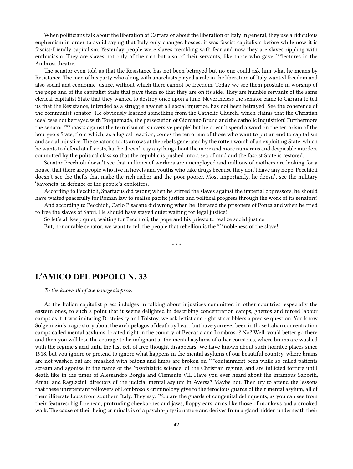When politicians talk about the liberation of Carrara or about the liberation of Italy in general, they use a ridiculous euphemism in order to avoid saying that Italy only changed bosses: it was fascist capitalism before while now it is fascist-friendly capitalism. Yesterday people were slaves trembling with fear and now they are slaves rippling with enthusiasm. They are slaves not only of the rich but also of their servants, like those who gave \*\*\*lectures in the Ambrosi theatre.

The senator even told us that the Resistance has not been betrayed but no one could ask him what he means by Resistance. The men of his party who along with anarchists played a role in the liberation of Italy wanted freedom and also social and economic justice, without which there cannot be freedom. Today we see them prostate in worship of the pope and of the capitalist State that pays them so that they are on its side. They are humble servants of the same clerical-capitalist State that they wanted to destroy once upon a time. Nevertheless the senator came to Carrara to tell us that the Resistance, intended as a struggle against all social injustice, has not been betrayed! See the coherence of the communist senator! He obviously learned something from the Catholic Church, which claims that the Christian ideal was not betrayed with Torquemada, the persecution of Giordano Bruno and the catholic Inquisition! Furthermore the senator \*\*\*boasts against the terrorism of 'subversive people' but he doesn't spend a word on the terrorism of the bourgeois State, from which, as a logical reaction, comes the terrorism of those who want to put an end to capitalism and social injustice. The senator shoots arrows at the rebels generated by the rotten womb of an exploiting State, which he wants to defend at all costs, but he doesn't say anything about the more and more numerous and despicable murders committed by the political class so that the republic is pushed into a sea of mud and the fascist State is restored.

Senator Pecchioli doesn't see that millions of workers are unemployed and millions of mothers are looking for a house, that there are people who live in hovels and youths who take drugs because they don't have any hope. Pecchioli doesn't see the thefts that make the rich richer and the poor poorer. Most importantly, he doesn't see the military 'bayonets' in defence of the people's exploiters.

According to Pecchioli, Spartacus did wrong when he stirred the slaves against the imperial oppressors, he should have waited peacefully for Roman law to realize pacific justice and political progress through the work of its senators!

And according to Pecchioli, Carlo Pisacane did wrong when he liberated the prisoners of Ponza and when he tried to free the slaves of Sapri. He should have stayed quiet waiting for legal justice!

So let's all keep quiet, waiting for Pecchioli, the pope and his priests to realize social justice!

But, honourable senator, we want to tell the people that rebellion is the \*\*\*nobleness of the slave!

\* \* \*

### <span id="page-41-0"></span>**L'AMICO DEL POPOLO N. 33**

*To the know-all of the bourgeois press*

As the Italian capitalist press indulges in talking about injustices committed in other countries, especially the eastern ones, to such a point that it seems delighted in describing concentration camps, ghettos and forced labour camps as if it was imitating Dostoiesky and Tolstoy, we ask leftist and rightist scribblers a precise question. You know Solgenitzin's tragic story about the archipelagos of death by heart, but have you ever been in those Italian concentration camps called mental asylums, located right in the country of Beccaria and Lombroso? No? Well, you'd better go there and then you will lose the courage to be indignant at the mental asylums of other countries, where brains are washed with the regime's acid until the last cell of free thought disappears. We have known about such horrible places since 1918, but you ignore or pretend to ignore what happens in the mental asylums of our beautiful country, where brains are not washed but are smashed with batons and limbs are broken on \*\*\*containment beds while so-called patients scream and agonize in the name of the 'psychiatric science' of the Christian regime, and are inflicted torture until death like in the times of Alessandro Borgia and Clemente VII. Have you ever heard about the infamous Saporiti, Amati and Raguzzini, directors of the judicial mental asylum in Aversa? Maybe not. Then try to attend the lessons that these unrepentant followers of Lombroso's criminology give to the ferocious guards of their mental asylum, all of them illiterate louts from southern Italy. They say: 'You are the guards of congenital delinquents, as you can see from their features: big forehead, protruding cheekbones and jaws, floppy ears, arms like those of monkeys and a crooked walk. The cause of their being criminals is of a psycho-physic nature and derives from a gland hidden underneath their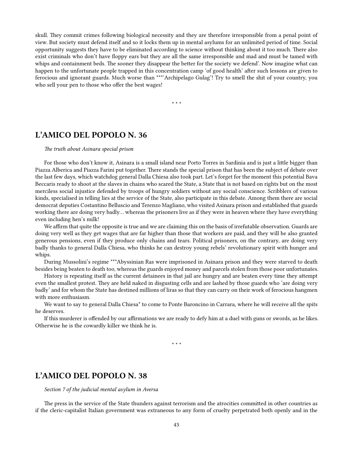skull. They commit crimes following biological necessity and they are therefore irresponsible from a penal point of view. But society must defend itself and so it locks them up in mental asylums for an unlimited period of time. Social opportunity suggests they have to be eliminated according to science without thinking about it too much. There also exist criminals who don't have floppy ears but they are all the same irresponsible and mad and must be tamed with whips and containment beds. The sooner they disappear the better for the society we defend'. Now imagine what can happen to the unfortunate people trapped in this concentration camp 'of good health' after such lessons are given to ferocious and ignorant guards. Much worse than \*\*\*'Archipelago Gulag'! Try to smell the shit of your country, you who sell your pen to those who offer the best wages!

\* \* \*

### <span id="page-42-0"></span>**L'AMICO DEL POPOLO N. 36**

#### *The truth about Asinara special prison*

For those who don't know it, Asinara is a small island near Porto Torres in Sardinia and is just a little bigger than Piazza Alberica and Piazza Farini put together. There stands the special prison that has been the subject of debate over the last few days, which watchdog general Dalla Chiesa also took part. Let's forget for the moment this potential Bava Beccaris ready to shoot at the slaves in chains who scared the State, a State that is not based on rights but on the most merciless social injustice defended by troops of hungry soldiers without any social conscience. Scribblers of various kinds, specialised in telling lies at the service of the State, also participate in this debate. Among them there are social democrat deputies Costantino Belluscio and Terenzo Magliano, who visited Asinara prison and established that guards working there are doing very badly… whereas the prisoners live as if they were in heaven where they have everything even including hen's milk!

We affirm that quite the opposite is true and we are claiming this on the basis of irrefutable observation. Guards are doing very well as they get wages that are far higher than those that workers are paid, and they will be also granted generous pensions, even if they produce only chains and tears. Political prisoners, on the contrary, are doing very badly thanks to general Dalla Chiesa, who thinks he can destroy young rebels' revolutionary spirit with hunger and whips.

During Mussolini's regime \*\*\*Abyssinian Ras were imprisoned in Asinara prison and they were starved to death besides being beaten to death too, whereas the guards enjoyed money and parcels stolen from those poor unfortunates.

History is repeating itself as the current detainees in that jail are hungry and are beaten every time they attempt even the smallest protest. They are held naked in disgusting cells and are lashed by those guards who 'are doing very badly' and for whom the State has destined millions of liras so that they can carry on their work of ferocious hangmen with more enthusiasm.

We want to say to general Dalla Chiesa\* to come to Ponte Baroncino in Carrara, where he will receive all the spits he deserves.

If this murderer is offended by our affirmations we are ready to defy him at a duel with guns or swords, as he likes. Otherwise he is the cowardly killer we think he is.

\* \* \*

### <span id="page-42-1"></span>**L'AMICO DEL POPOLO N. 38**

*Section 7 of the judicial mental asylum in Aversa*

The press in the service of the State thunders against terrorism and the atrocities committed in other countries as if the cleric-capitalist Italian government was extraneous to any form of cruelty perpetrated both openly and in the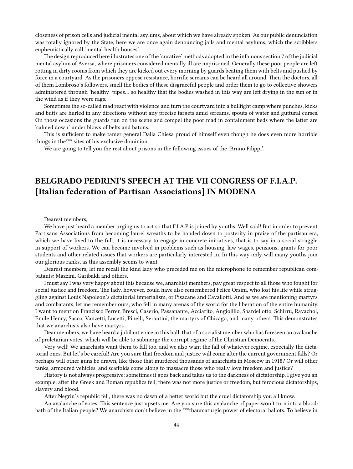closeness of prison cells and judicial mental asylums, about which we have already spoken. As our public denunciation was totally ignored by the State, here we are once again denouncing jails and mental asylums, which the scribblers euphemistically call 'mental health houses'.

The design reproduced here illustrates one of the 'curative' methods adopted in the infamous section 7 of the judicial mental asylum of Aversa, where prisoners considered mentally ill are imprisoned. Generally these poor people are left rotting in dirty rooms from which they are kicked out every morning by guards beating them with belts and pushed by force in a courtyard. As the prisoners oppose resistance, horrific screams can be heard all around. Then the doctors, all of them Lombroso's followers, smell the bodies of these disgraceful people and order them to go to collective showers administered through 'healthy' pipes… so healthy that the bodies washed in this way are left drying in the sun or in the wind as if they were rags.

Sometimes the so-called mad react with violence and turn the courtyard into a bullfight camp where punches, kicks and butts are hurled in any directions without any precise targets amid screams, spouts of water and guttural curses. On those occasions the guards run on the scene and compel the poor mad in containment beds where the latter are 'calmed down' under blows of belts and batons.

This is sufficient to make tamer general Dalla Chiesa proud of himself even though he does even more horrible things in the\*\*\* sites of his exclusive dominion.

We are going to tell you the rest about prisons in the following issues of the 'Bruno Filippi'.

### <span id="page-43-0"></span>**BELGRADO PEDRINI'S SPEECH AT THE VII CONGRESS OF F.I.A.P. [Italian federation of Partisan Associations] IN MODENA**

Dearest members,

We have just heard a member urging us to act so that F.I.A.P is joined by youths. Well said! But in order to prevent Partisans Associations from becoming laurel wreaths to be handed down to posterity in praise of the partisan era, which we have lived to the full, it is necessary to engage in concrete initiatives, that is to say in a social struggle in support of workers. We can become involved in problems such as housing, law wages, pensions, grants for poor students and other related issues that workers are particularly interested in. In this way only will many youths join our glorious ranks, as this assembly seems to want.

Dearest members, let me recall the kind lady who preceded me on the microphone to remember republican combatants: Mazzini, Garibaldi and others.

I must say I was very happy about this because we, anarchist members, pay great respect to all those who fought for social justice and freedom. The lady, however, could have also remembered Felice Orsini, who lost his life while struggling against Louis Napoleon's dictatorial imperialism, or Pisacane and Cavallotti. And as we are mentioning martyrs and combatants, let me remember ours, who fell in many arenas of the world for the liberation of the entire humanity. I want to mention Francisco Ferrer, Bresci, Caserio, Passanante, Acciarito, Angiolillo, Sbardellotto, Schirru, Ravachol, Emile Henry, Sacco, Vanzetti, Lucetti, Pinelli, Serantini, the martyrs of Chicago, and many others. This demonstrates that we anarchists also have martyrs.

Dear members, we have heard a jubilant voice in this hall: that of a socialist member who has foreseen an avalanche of proletarian votes, which will be able to submerge the corrupt regime of the Christian Democrats.

Very well! We anarchists want them to fall too, and we also want the fall of whatever regime, especially the dictatorial ones. But let's be careful! Are you sure that freedom and justice will come after the current government falls? Or perhaps will other guns be drawn, like those that murdered thousands of anarchists in Moscow in 1918? Or will other tanks, armoured vehicles, and scaffolds come along to massacre those who really love freedom and justice?

History is not always progressive: sometimes it goes back and takes us to the darkness of dictatorship. I give you an example: after the Greek and Roman republics fell, there was not more justice or freedom, but ferocious dictatorships, slavery and blood.

After Negrin's republic fell, there was no dawn of a better world but the cruel dictatorship you all know.

An avalanche of votes! This sentence just upsets me. Are you sure this avalanche of paper won't turn into a bloodbath of the Italian people? We anarchists don't believe in the \*\*\*thaumaturgic power of electoral ballots. To believe in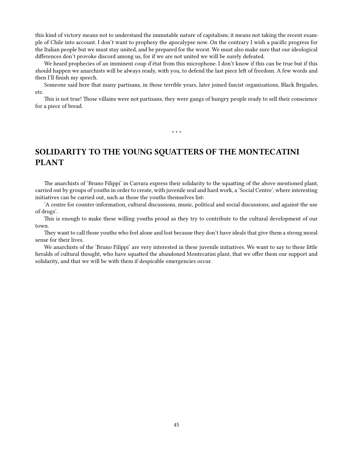this kind of victory means not to understand the immutable nature of capitalism; it means not taking the recent example of Chile into account. I don't want to prophesy the apocalypse now. On the contrary I wish a pacific progress for the Italian people but we must stay united, and be prepared for the worst. We must also make sure that our ideological differences don't provoke discord among us, for if we are not united we will be surely defeated.

We heard prophecies of an imminent coup d'état from this microphone. I don't know if this can be true but if this should happen we anarchists will be always ready, with you, to defend the last piece left of freedom. A few words and then I'll finish my speech.

Someone said here that many partisans, in those terrible years, later joined fascist organizations, Black Brigades, etc.

This is not true! Those villains were not partisans, they were gangs of hungry people ready to sell their conscience for a piece of bread.

\* \* \*

### <span id="page-44-0"></span>**SOLIDARITY TO THE YOUNG SQUATTERS OF THE MONTECATINI PLANT**

The anarchists of 'Bruno Filippi' in Carrara express their solidarity to the squatting of the above mentioned plant, carried out by groups of youths in order to create, with juvenile zeal and hard work, a 'Social Centre', where interesting initiatives can be carried out, such as those the youths themselves list:

'A centre for counter-information, cultural discussions, music, political and social discussions, and against the use of drugs'.

This is enough to make these willing youths proud as they try to contribute to the cultural development of our town.

They want to call those youths who feel alone and lost because they don't have ideals that give them a strong moral sense for their lives.

We anarchists of the 'Bruno Filippi' are very interested in these juvenile initiatives. We want to say to these little heralds of cultural thought, who have squatted the abandoned Montecatini plant, that we offer them our support and solidarity, and that we will be with them if despicable emergencies occur.